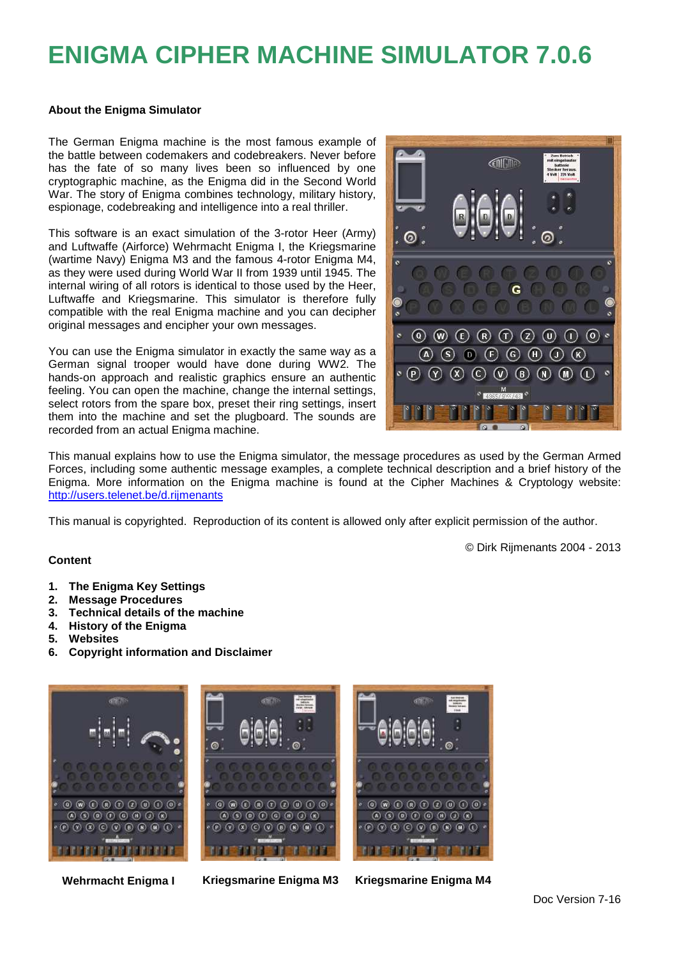# **ENIGMA CIPHER MACHINE SIMULATOR 7.0.6**

#### **About the Enigma Simulator**

The German Enigma machine is the most famous example of the battle between codemakers and codebreakers. Never before has the fate of so many lives been so influenced by one cryptographic machine, as the Enigma did in the Second World War. The story of Enigma combines technology, military history, espionage, codebreaking and intelligence into a real thriller.

This software is an exact simulation of the 3-rotor Heer (Army) and Luftwaffe (Airforce) Wehrmacht Enigma I, the Kriegsmarine (wartime Navy) Enigma M3 and the famous 4-rotor Enigma M4, as they were used during World War II from 1939 until 1945. The internal wiring of all rotors is identical to those used by the Heer, Luftwaffe and Kriegsmarine. This simulator is therefore fully compatible with the real Enigma machine and you can decipher original messages and encipher your own messages.

You can use the Enigma simulator in exactly the same way as a German signal trooper would have done during WW2. The hands-on approach and realistic graphics ensure an authentic feeling. You can open the machine, change the internal settings, select rotors from the spare box, preset their ring settings, insert them into the machine and set the plugboard. The sounds are recorded from an actual Enigma machine.



© Dirk Rijmenants 2004 - 2013

This manual explains how to use the Enigma simulator, the message procedures as used by the German Armed Forces, including some authentic message examples, a complete technical description and a brief history of the Enigma. More information on the Enigma machine is found at the Cipher Machines & Cryptology website: http://users.telenet.be/d.rijmenants

This manual is copyrighted. Reproduction of its content is allowed only after explicit permission of the author.

#### **Content**

- **1. The Enigma Key Settings**
- **2. Message Procedures**
- **3. Technical details of the machine**
- **4. History of the Enigma**
- **5. Websites**
- **6. Copyright information and Disclaimer**



**Wehrmacht Enigma I Kriegsmarine Enigma M3 Kriegsmarine Enigma M4**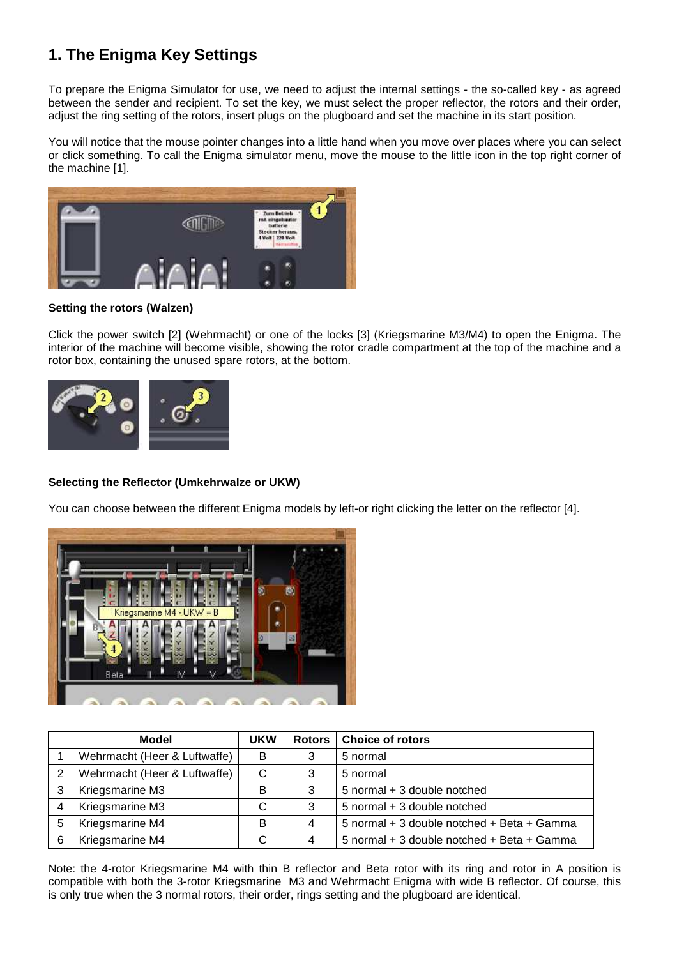# **1. The Enigma Key Settings**

To prepare the Enigma Simulator for use, we need to adjust the internal settings - the so-called key - as agreed between the sender and recipient. To set the key, we must select the proper reflector, the rotors and their order, adjust the ring setting of the rotors, insert plugs on the plugboard and set the machine in its start position.

You will notice that the mouse pointer changes into a little hand when you move over places where you can select or click something. To call the Enigma simulator menu, move the mouse to the little icon in the top right corner of the machine [1].



#### **Setting the rotors (Walzen)**

Click the power switch [2] (Wehrmacht) or one of the locks [3] (Kriegsmarine M3/M4) to open the Enigma. The interior of the machine will become visible, showing the rotor cradle compartment at the top of the machine and a rotor box, containing the unused spare rotors, at the bottom.



#### **Selecting the Reflector (Umkehrwalze or UKW)**

You can choose between the different Enigma models by left-or right clicking the letter on the reflector [4].



|   | Model                        | <b>UKW</b> | Rotors | <b>Choice of rotors</b>                    |
|---|------------------------------|------------|--------|--------------------------------------------|
|   | Wehrmacht (Heer & Luftwaffe) | в          | 3      | 5 normal                                   |
| 2 | Wehrmacht (Heer & Luftwaffe) | C          | 3      | 5 normal                                   |
|   | Kriegsmarine M3              | в          | 3      | 5 normal + 3 double notched                |
|   | Kriegsmarine M3              | С          | 3      | 5 normal + 3 double notched                |
| 5 | Kriegsmarine M4              | в          | 4      | 5 normal + 3 double notched + Beta + Gamma |
| 6 | Kriegsmarine M4              | С          | 4      | 5 normal + 3 double notched + Beta + Gamma |

Note: the 4-rotor Kriegsmarine M4 with thin B reflector and Beta rotor with its ring and rotor in A position is compatible with both the 3-rotor Kriegsmarine M3 and Wehrmacht Enigma with wide B reflector. Of course, this is only true when the 3 normal rotors, their order, rings setting and the plugboard are identical.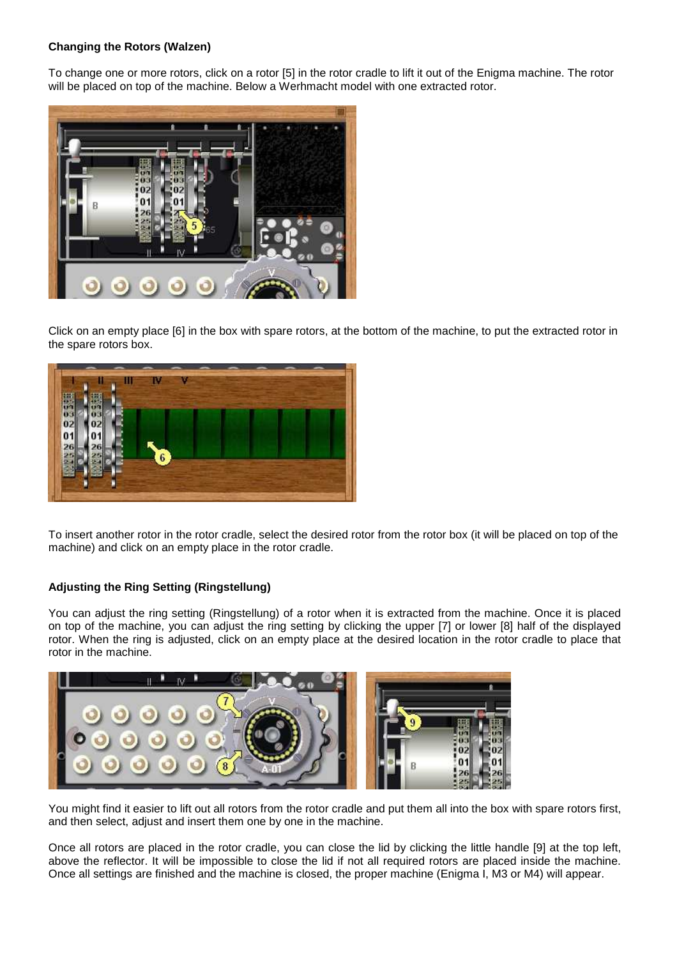#### **Changing the Rotors (Walzen)**

To change one or more rotors, click on a rotor [5] in the rotor cradle to lift it out of the Enigma machine. The rotor will be placed on top of the machine. Below a Werhmacht model with one extracted rotor.



Click on an empty place [6] in the box with spare rotors, at the bottom of the machine, to put the extracted rotor in the spare rotors box.



To insert another rotor in the rotor cradle, select the desired rotor from the rotor box (it will be placed on top of the machine) and click on an empty place in the rotor cradle.

#### **Adjusting the Ring Setting (Ringstellung)**

You can adjust the ring setting (Ringstellung) of a rotor when it is extracted from the machine. Once it is placed on top of the machine, you can adjust the ring setting by clicking the upper [7] or lower [8] half of the displayed rotor. When the ring is adjusted, click on an empty place at the desired location in the rotor cradle to place that rotor in the machine.



You might find it easier to lift out all rotors from the rotor cradle and put them all into the box with spare rotors first, and then select, adjust and insert them one by one in the machine.

Once all rotors are placed in the rotor cradle, you can close the lid by clicking the little handle [9] at the top left, above the reflector. It will be impossible to close the lid if not all required rotors are placed inside the machine. Once all settings are finished and the machine is closed, the proper machine (Enigma I, M3 or M4) will appear.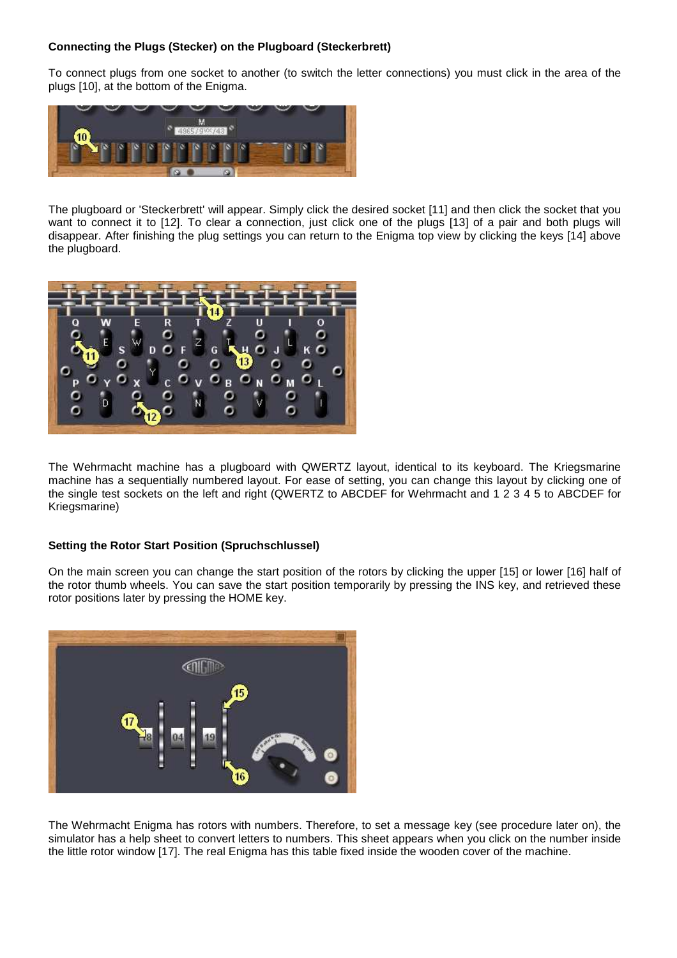#### **Connecting the Plugs (Stecker) on the Plugboard (Steckerbrett)**

To connect plugs from one socket to another (to switch the letter connections) you must click in the area of the plugs [10], at the bottom of the Enigma.



The plugboard or 'Steckerbrett' will appear. Simply click the desired socket [11] and then click the socket that you want to connect it to [12]. To clear a connection, just click one of the plugs [13] of a pair and both plugs will disappear. After finishing the plug settings you can return to the Enigma top view by clicking the keys [14] above the plugboard.



The Wehrmacht machine has a plugboard with QWERTZ layout, identical to its keyboard. The Kriegsmarine machine has a sequentially numbered layout. For ease of setting, you can change this layout by clicking one of the single test sockets on the left and right (QWERTZ to ABCDEF for Wehrmacht and 1 2 3 4 5 to ABCDEF for Kriegsmarine)

#### **Setting the Rotor Start Position (Spruchschlussel)**

On the main screen you can change the start position of the rotors by clicking the upper [15] or lower [16] half of the rotor thumb wheels. You can save the start position temporarily by pressing the INS key, and retrieved these rotor positions later by pressing the HOME key.



The Wehrmacht Enigma has rotors with numbers. Therefore, to set a message key (see procedure later on), the simulator has a help sheet to convert letters to numbers. This sheet appears when you click on the number inside the little rotor window [17]. The real Enigma has this table fixed inside the wooden cover of the machine.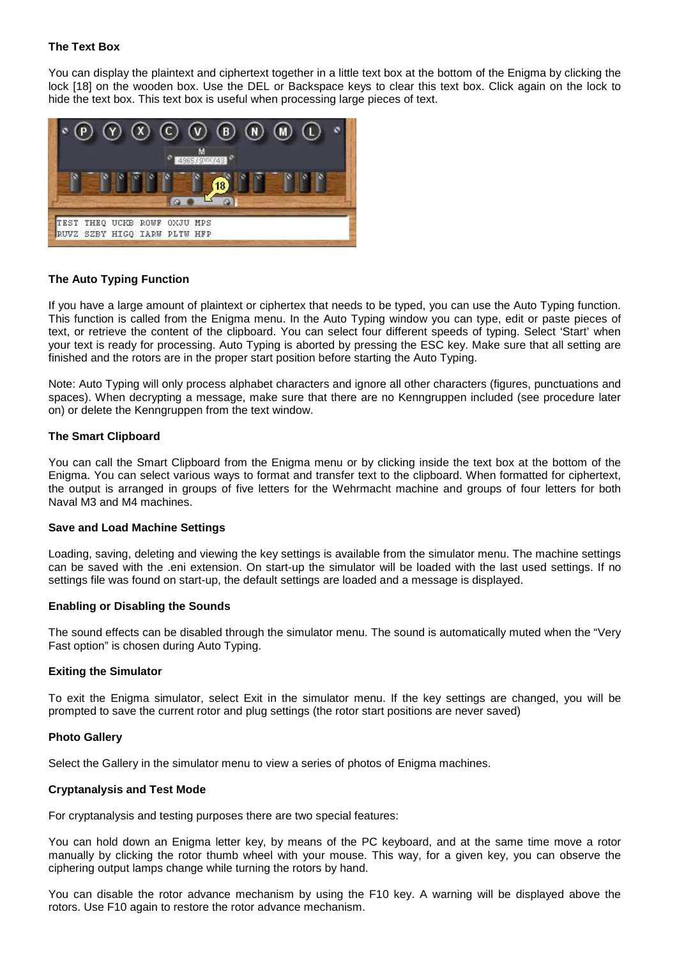#### **The Text Box**

You can display the plaintext and ciphertext together in a little text box at the bottom of the Enigma by clicking the lock [18] on the wooden box. Use the DEL or Backspace keys to clear this text box. Click again on the lock to hide the text box. This text box is useful when processing large pieces of text.



#### **The Auto Typing Function**

If you have a large amount of plaintext or ciphertex that needs to be typed, you can use the Auto Typing function. This function is called from the Enigma menu. In the Auto Typing window you can type, edit or paste pieces of text, or retrieve the content of the clipboard. You can select four different speeds of typing. Select 'Start' when your text is ready for processing. Auto Typing is aborted by pressing the ESC key. Make sure that all setting are finished and the rotors are in the proper start position before starting the Auto Typing.

Note: Auto Typing will only process alphabet characters and ignore all other characters (figures, punctuations and spaces). When decrypting a message, make sure that there are no Kenngruppen included (see procedure later on) or delete the Kenngruppen from the text window.

#### **The Smart Clipboard**

You can call the Smart Clipboard from the Enigma menu or by clicking inside the text box at the bottom of the Enigma. You can select various ways to format and transfer text to the clipboard. When formatted for ciphertext, the output is arranged in groups of five letters for the Wehrmacht machine and groups of four letters for both Naval M3 and M4 machines.

#### **Save and Load Machine Settings**

Loading, saving, deleting and viewing the key settings is available from the simulator menu. The machine settings can be saved with the .eni extension. On start-up the simulator will be loaded with the last used settings. If no settings file was found on start-up, the default settings are loaded and a message is displayed.

#### **Enabling or Disabling the Sounds**

The sound effects can be disabled through the simulator menu. The sound is automatically muted when the "Very Fast option" is chosen during Auto Typing.

#### **Exiting the Simulator**

To exit the Enigma simulator, select Exit in the simulator menu. If the key settings are changed, you will be prompted to save the current rotor and plug settings (the rotor start positions are never saved)

#### **Photo Gallery**

Select the Gallery in the simulator menu to view a series of photos of Enigma machines.

#### **Cryptanalysis and Test Mode**

For cryptanalysis and testing purposes there are two special features:

You can hold down an Enigma letter key, by means of the PC keyboard, and at the same time move a rotor manually by clicking the rotor thumb wheel with your mouse. This way, for a given key, you can observe the ciphering output lamps change while turning the rotors by hand.

You can disable the rotor advance mechanism by using the F10 key. A warning will be displayed above the rotors. Use F10 again to restore the rotor advance mechanism.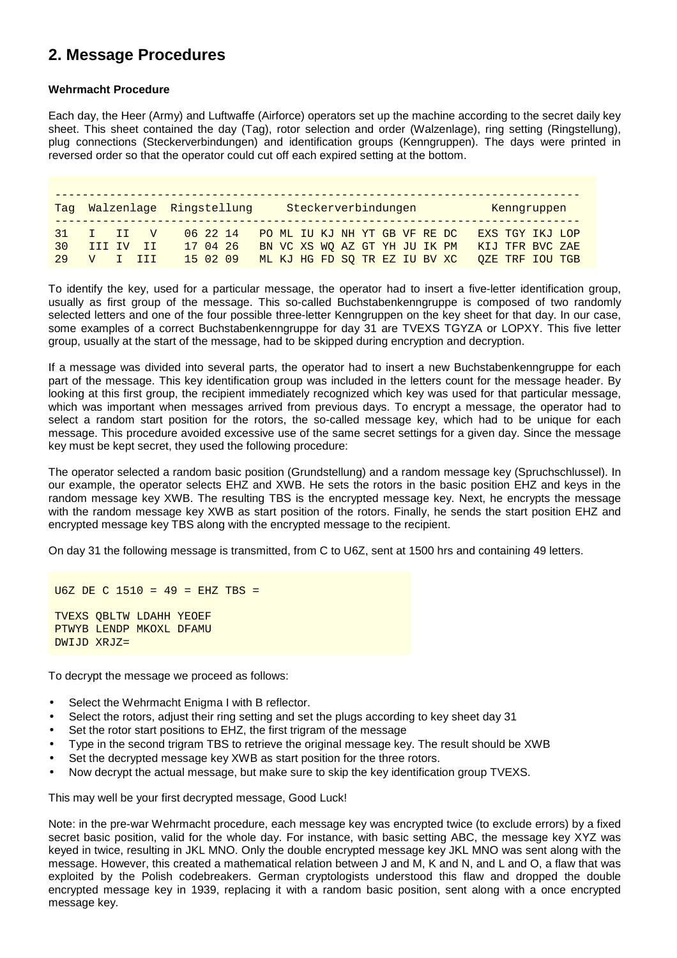## **2. Message Procedures**

#### **Wehrmacht Procedure**

Each day, the Heer (Army) and Luftwaffe (Airforce) operators set up the machine according to the secret daily key sheet. This sheet contained the day (Tag), rotor selection and order (Walzenlage), ring setting (Ringstellung), plug connections (Steckerverbindungen) and identification groups (Kenngruppen). The days were printed in reversed order so that the operator could cut off each expired setting at the bottom.

|    |             |       | Tag Walzenlage Ringstellung |                                        |  |  | Steckerverbindungen           |  |  |                               |                 | Kenngruppen     |  |
|----|-------------|-------|-----------------------------|----------------------------------------|--|--|-------------------------------|--|--|-------------------------------|-----------------|-----------------|--|
|    | $31$ T TT V |       |                             | 06 22 14 PO ML IU KJ NH YT GB VF RE DC |  |  |                               |  |  |                               | EXS TGY IKJ LOP |                 |  |
| 30 | TTT TV      | $-11$ |                             | 17 04 26                               |  |  | BN VC XS WO AZ GT YH JU IK PM |  |  |                               |                 | KIJ TFR BVC ZAE |  |
| 29 | V T TTT     |       |                             | 15 02 09                               |  |  |                               |  |  | ML KJ HG FD SO TR EZ IU BV XC |                 | OZE TRF IOU TGB |  |

To identify the key, used for a particular message, the operator had to insert a five-letter identification group, usually as first group of the message. This so-called Buchstabenkenngruppe is composed of two randomly selected letters and one of the four possible three-letter Kenngruppen on the key sheet for that day. In our case, some examples of a correct Buchstabenkenngruppe for day 31 are TVEXS TGYZA or LOPXY. This five letter group, usually at the start of the message, had to be skipped during encryption and decryption.

If a message was divided into several parts, the operator had to insert a new Buchstabenkenngruppe for each part of the message. This key identification group was included in the letters count for the message header. By looking at this first group, the recipient immediately recognized which key was used for that particular message, which was important when messages arrived from previous days. To encrypt a message, the operator had to select a random start position for the rotors, the so-called message key, which had to be unique for each message. This procedure avoided excessive use of the same secret settings for a given day. Since the message key must be kept secret, they used the following procedure:

The operator selected a random basic position (Grundstellung) and a random message key (Spruchschlussel). In our example, the operator selects EHZ and XWB. He sets the rotors in the basic position EHZ and keys in the random message key XWB. The resulting TBS is the encrypted message key. Next, he encrypts the message with the random message key XWB as start position of the rotors. Finally, he sends the start position EHZ and encrypted message key TBS along with the encrypted message to the recipient.

On day 31 the following message is transmitted, from C to U6Z, sent at 1500 hrs and containing 49 letters.

U6Z DE C 1510 = 49 = EHZ TBS = TVEXS QBLTW LDAHH YEOEF PTWYB LENDP MKOXL DFAMU DWIJD XRJZ=

To decrypt the message we proceed as follows:

- Select the Wehrmacht Enigma I with B reflector.
- Select the rotors, adjust their ring setting and set the plugs according to key sheet day 31
- Set the rotor start positions to EHZ, the first trigram of the message
- Type in the second trigram TBS to retrieve the original message key. The result should be XWB
- Set the decrypted message key XWB as start position for the three rotors.
- Now decrypt the actual message, but make sure to skip the key identification group TVEXS.

This may well be your first decrypted message, Good Luck!

Note: in the pre-war Wehrmacht procedure, each message key was encrypted twice (to exclude errors) by a fixed secret basic position, valid for the whole day. For instance, with basic setting ABC, the message key XYZ was keyed in twice, resulting in JKL MNO. Only the double encrypted message key JKL MNO was sent along with the message. However, this created a mathematical relation between J and M, K and N, and L and O, a flaw that was exploited by the Polish codebreakers. German cryptologists understood this flaw and dropped the double encrypted message key in 1939, replacing it with a random basic position, sent along with a once encrypted message key.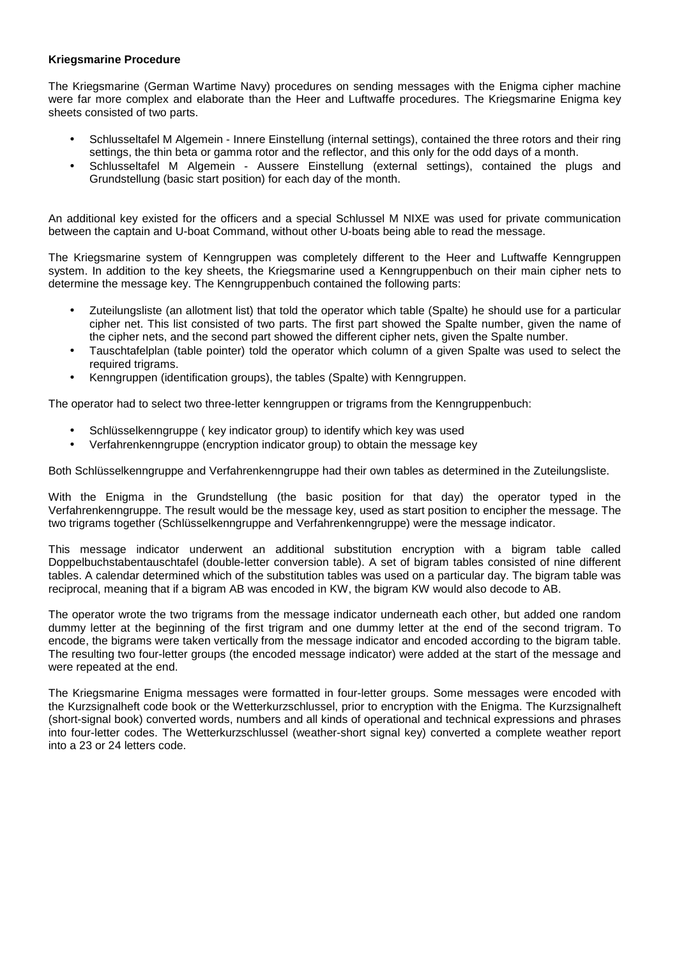#### **Kriegsmarine Procedure**

The Kriegsmarine (German Wartime Navy) procedures on sending messages with the Enigma cipher machine were far more complex and elaborate than the Heer and Luftwaffe procedures. The Kriegsmarine Enigma key sheets consisted of two parts.

- Schlusseltafel M Algemein Innere Einstellung (internal settings), contained the three rotors and their ring settings, the thin beta or gamma rotor and the reflector, and this only for the odd days of a month.
- Schlusseltafel M Algemein Aussere Einstellung (external settings), contained the plugs and Grundstellung (basic start position) for each day of the month.

An additional key existed for the officers and a special Schlussel M NIXE was used for private communication between the captain and U-boat Command, without other U-boats being able to read the message.

The Kriegsmarine system of Kenngruppen was completely different to the Heer and Luftwaffe Kenngruppen system. In addition to the key sheets, the Kriegsmarine used a Kenngruppenbuch on their main cipher nets to determine the message key. The Kenngruppenbuch contained the following parts:

- Zuteilungsliste (an allotment list) that told the operator which table (Spalte) he should use for a particular cipher net. This list consisted of two parts. The first part showed the Spalte number, given the name of the cipher nets, and the second part showed the different cipher nets, given the Spalte number.
- Tauschtafelplan (table pointer) told the operator which column of a given Spalte was used to select the required trigrams.
- Kenngruppen (identification groups), the tables (Spalte) with Kenngruppen.

The operator had to select two three-letter kenngruppen or trigrams from the Kenngruppenbuch:

- Schlüsselkenngruppe ( key indicator group) to identify which key was used
- Verfahrenkenngruppe (encryption indicator group) to obtain the message key

Both Schlüsselkenngruppe and Verfahrenkenngruppe had their own tables as determined in the Zuteilungsliste.

With the Enigma in the Grundstellung (the basic position for that day) the operator typed in the Verfahrenkenngruppe. The result would be the message key, used as start position to encipher the message. The two trigrams together (Schlüsselkenngruppe and Verfahrenkenngruppe) were the message indicator.

This message indicator underwent an additional substitution encryption with a bigram table called Doppelbuchstabentauschtafel (double-letter conversion table). A set of bigram tables consisted of nine different tables. A calendar determined which of the substitution tables was used on a particular day. The bigram table was reciprocal, meaning that if a bigram AB was encoded in KW, the bigram KW would also decode to AB.

The operator wrote the two trigrams from the message indicator underneath each other, but added one random dummy letter at the beginning of the first trigram and one dummy letter at the end of the second trigram. To encode, the bigrams were taken vertically from the message indicator and encoded according to the bigram table. The resulting two four-letter groups (the encoded message indicator) were added at the start of the message and were repeated at the end.

The Kriegsmarine Enigma messages were formatted in four-letter groups. Some messages were encoded with the Kurzsignalheft code book or the Wetterkurzschlussel, prior to encryption with the Enigma. The Kurzsignalheft (short-signal book) converted words, numbers and all kinds of operational and technical expressions and phrases into four-letter codes. The Wetterkurzschlussel (weather-short signal key) converted a complete weather report into a 23 or 24 letters code.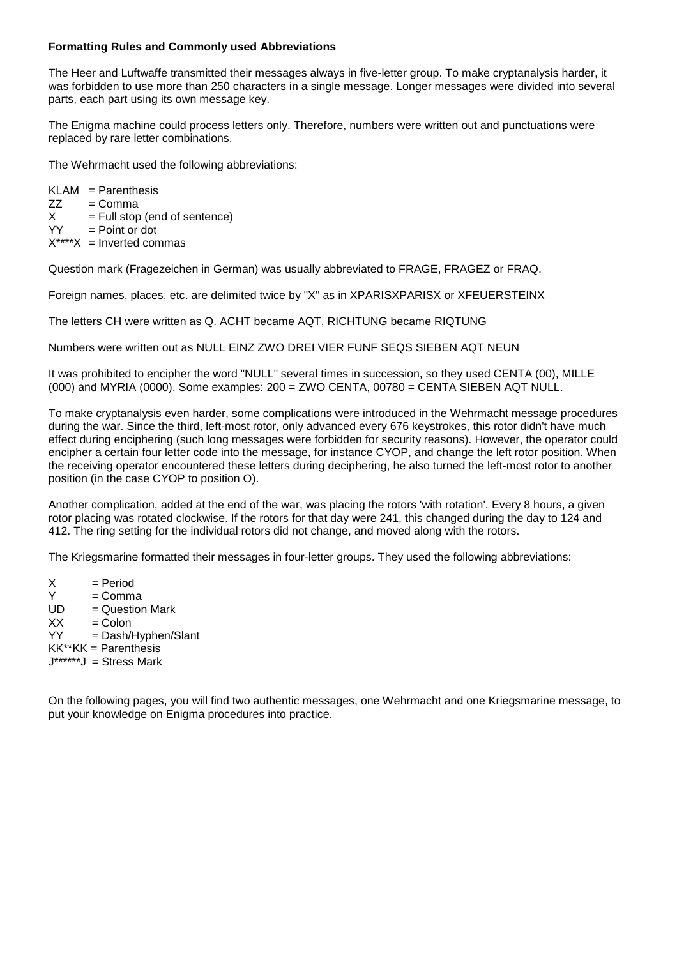#### **Formatting Rules and Commonly used Abbreviations**

The Heer and Luftwaffe transmitted their messages always in five-letter group. To make cryptanalysis harder, it was forbidden to use more than 250 characters in a single message. Longer messages were divided into several parts, each part using its own message key.

The Enigma machine could process letters only. Therefore, numbers were written out and punctuations were replaced by rare letter combinations.

The Wehrmacht used the following abbreviations:

 $KLAM = Parenthesis$  $ZZ = Comma$  $X = Full stop (end of sentence)   
YY = Point or dot$  $=$  Point or dot  $X^{***}X =$  Inverted commas

Question mark (Fragezeichen in German) was usually abbreviated to FRAGE, FRAGEZ or FRAQ.

Foreign names, places, etc. are delimited twice by "X" as in XPARISXPARISX or XFEUERSTEINX

The letters CH were written as Q. ACHT became AQT, RICHTUNG became RIQTUNG

Numbers were written out as NULL EINZ ZWO DREI VIER FUNF SEQS SIEBEN AQT NEUN

It was prohibited to encipher the word "NULL" several times in succession, so they used CENTA (00), MILLE (000) and MYRIA (0000). Some examples: 200 = ZWO CENTA, 00780 = CENTA SIEBEN AQT NULL.

To make cryptanalysis even harder, some complications were introduced in the Wehrmacht message procedures during the war. Since the third, left-most rotor, only advanced every 676 keystrokes, this rotor didn't have much effect during enciphering (such long messages were forbidden for security reasons). However, the operator could encipher a certain four letter code into the message, for instance CYOP, and change the left rotor position. When the receiving operator encountered these letters during deciphering, he also turned the left-most rotor to another position (in the case CYOP to position O).

Another complication, added at the end of the war, was placing the rotors 'with rotation'. Every 8 hours, a given rotor placing was rotated clockwise. If the rotors for that day were 241, this changed during the day to 124 and 412. The ring setting for the individual rotors did not change, and moved along with the rotors.

The Kriegsmarine formatted their messages in four-letter groups. They used the following abbreviations:

 $X = Period$  $Y = Comma$ <br> $UD = Question$  $=$  Question Mark  $XX =$  Colon YY = Dash/Hyphen/Slant  $KK^*KK =$  Parenthesis  $J****J =$  Stress Mark

On the following pages, you will find two authentic messages, one Wehrmacht and one Kriegsmarine message, to put your knowledge on Enigma procedures into practice.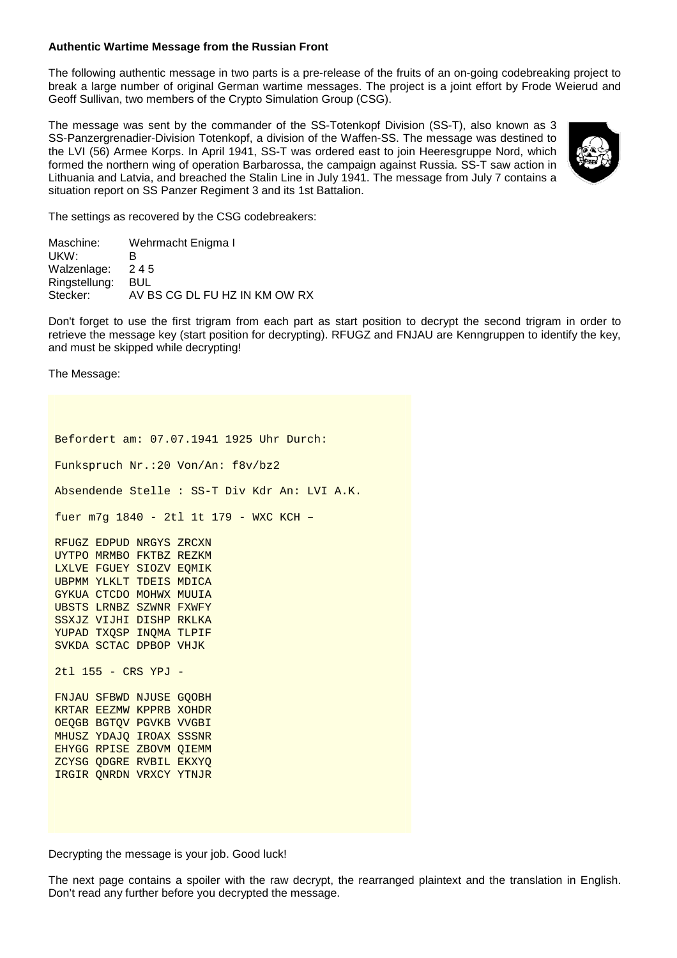#### **Authentic Wartime Message from the Russian Front**

The following authentic message in two parts is a pre-release of the fruits of an on-going codebreaking project to break a large number of original German wartime messages. The project is a joint effort by Frode Weierud and Geoff Sullivan, two members of the Crypto Simulation Group (CSG).

The message was sent by the commander of the SS-Totenkopf Division (SS-T), also known as 3 SS-Panzergrenadier-Division Totenkopf, a division of the Waffen-SS. The message was destined to the LVI (56) Armee Korps. In April 1941, SS-T was ordered east to join Heeresgruppe Nord, which formed the northern wing of operation Barbarossa, the campaign against Russia. SS-T saw action in Lithuania and Latvia, and breached the Stalin Line in July 1941. The message from July 7 contains a situation report on SS Panzer Regiment 3 and its 1st Battalion.



The settings as recovered by the CSG codebreakers:

| Maschine:     | Wehrmacht Enigma I            |
|---------------|-------------------------------|
| UKW:          | ĸ                             |
| Walzenlage:   | 245                           |
| Ringstellung: | BUL                           |
| Stecker:      | AV BS CG DL FU HZ IN KM OW RX |

Don't forget to use the first trigram from each part as start position to decrypt the second trigram in order to retrieve the message key (start position for decrypting). RFUGZ and FNJAU are Kenngruppen to identify the key, and must be skipped while decrypting!

The Message:

Befordert am: 07.07.1941 1925 Uhr Durch: Funkspruch Nr.:20 Von/An: f8v/bz2 Absendende Stelle : SS-T Div Kdr An: LVI A.K. fuer m7g 1840 - 2tl 1t 179 - WXC KCH – RFUGZ EDPUD NRGYS ZRCXN UYTPO MRMBO FKTBZ REZKM LXLVE FGUEY SIOZV EQMIK UBPMM YLKLT TDEIS MDICA GYKUA CTCDO MOHWX MUUIA UBSTS LRNBZ SZWNR FXWFY SSXJZ VIJHI DISHP RKLKA YUPAD TXQSP INQMA TLPIF SVKDA SCTAC DPBOP VHJK 2tl 155 - CRS YPJ - FNJAU SFBWD NJUSE GQOBH KRTAR EEZMW KPPRB XOHDR OEQGB BGTQV PGVKB VVGBI MHUSZ YDAJQ IROAX SSSNR EHYGG RPISE ZBOVM QIEMM ZCYSG QDGRE RVBIL EKXYQ IRGIR QNRDN VRXCY YTNJR

Decrypting the message is your job. Good luck!

The next page contains a spoiler with the raw decrypt, the rearranged plaintext and the translation in English. Don't read any further before you decrypted the message.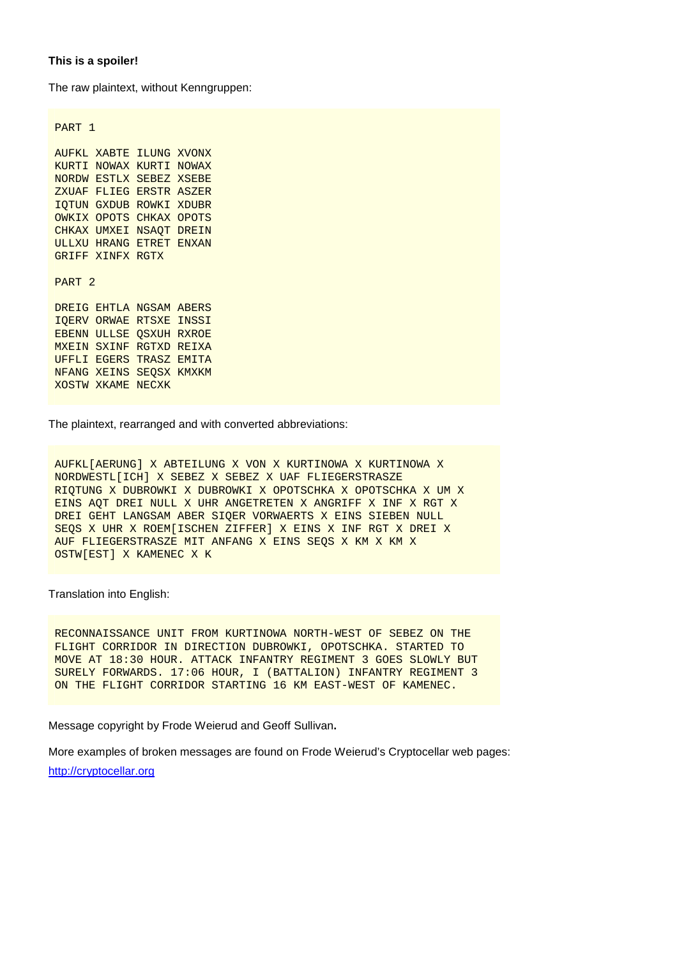#### **This is a spoiler!**

The raw plaintext, without Kenngruppen:

PART 1

AUFKL XABTE ILUNG XVONX KURTI NOWAX KURTI NOWAX NORDW ESTLX SEBEZ XSEBE ZXUAF FLIEG ERSTR ASZER IQTUN GXDUB ROWKI XDUBR OWKIX OPOTS CHKAX OPOTS CHKAX UMXEI NSAQT DREIN ULLXU HRANG ETRET ENXAN GRIFF XINFX RGTX PART 2 DREIG EHTLA NGSAM ABERS IQERV ORWAE RTSXE INSSI EBENN ULLSE QSXUH RXROE MXEIN SXINF RGTXD REIXA UFFLI EGERS TRASZ EMITA NFANG XEINS SEQSX KMXKM

The plaintext, rearranged and with converted abbreviations:

AUFKL[AERUNG] X ABTEILUNG X VON X KURTINOWA X KURTINOWA X NORDWESTL[ICH] X SEBEZ X SEBEZ X UAF FLIEGERSTRASZE RIQTUNG X DUBROWKI X DUBROWKI X OPOTSCHKA X OPOTSCHKA X UM X EINS AQT DREI NULL X UHR ANGETRETEN X ANGRIFF X INF X RGT X DREI GEHT LANGSAM ABER SIQER VORWAERTS X EINS SIEBEN NULL SEQS X UHR X ROEM[ISCHEN ZIFFER] X EINS X INF RGT X DREI X AUF FLIEGERSTRASZE MIT ANFANG X EINS SEQS X KM X KM X OSTW[EST] X KAMENEC X K

Translation into English:

XOSTW XKAME NECXK

RECONNAISSANCE UNIT FROM KURTINOWA NORTH-WEST OF SEBEZ ON THE FLIGHT CORRIDOR IN DIRECTION DUBROWKI, OPOTSCHKA. STARTED TO MOVE AT 18:30 HOUR. ATTACK INFANTRY REGIMENT 3 GOES SLOWLY BUT SURELY FORWARDS. 17:06 HOUR, I (BATTALION) INFANTRY REGIMENT 3 ON THE FLIGHT CORRIDOR STARTING 16 KM EAST-WEST OF KAMENEC.

Message copyright by Frode Weierud and Geoff Sullivan**.** 

More examples of broken messages are found on Frode Weierud's Cryptocellar web pages: http://cryptocellar.org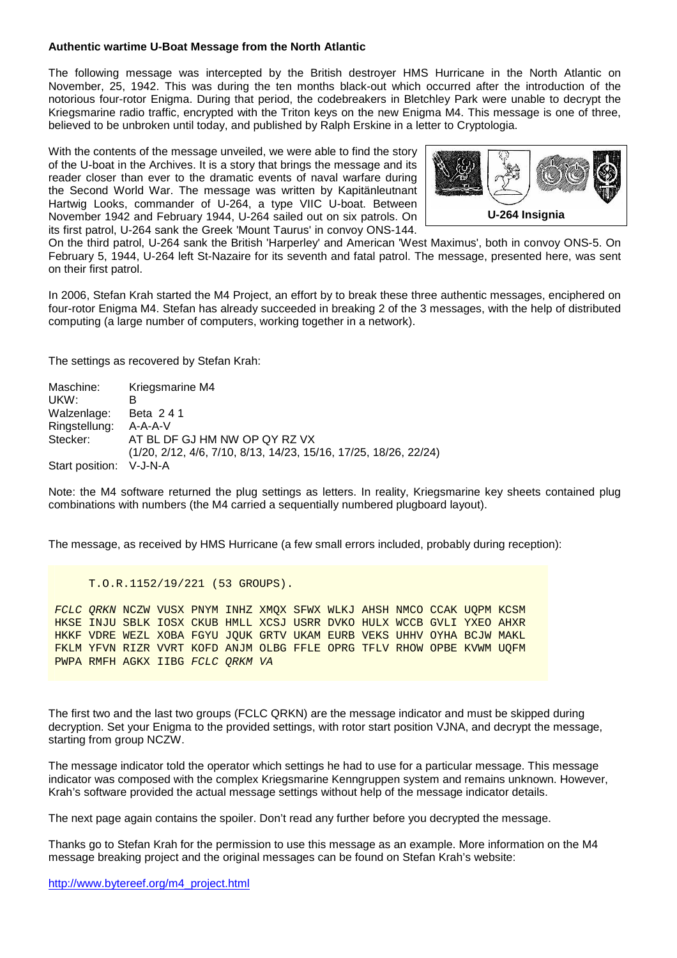#### **Authentic wartime U-Boat Message from the North Atlantic**

The following message was intercepted by the British destroyer HMS Hurricane in the North Atlantic on November, 25, 1942. This was during the ten months black-out which occurred after the introduction of the notorious four-rotor Enigma. During that period, the codebreakers in Bletchley Park were unable to decrypt the Kriegsmarine radio traffic, encrypted with the Triton keys on the new Enigma M4. This message is one of three, believed to be unbroken until today, and published by Ralph Erskine in a letter to Cryptologia.

With the contents of the message unveiled, we were able to find the story of the U-boat in the Archives. It is a story that brings the message and its reader closer than ever to the dramatic events of naval warfare during the Second World War. The message was written by Kapitänleutnant Hartwig Looks, commander of U-264, a type VIIC U-boat. Between November 1942 and February 1944, U-264 sailed out on six patrols. On its first patrol, U-264 sank the Greek 'Mount Taurus' in convoy ONS-144.



On the third patrol, U-264 sank the British 'Harperley' and American 'West Maximus', both in convoy ONS-5. On February 5, 1944, U-264 left St-Nazaire for its seventh and fatal patrol. The message, presented here, was sent on their first patrol.

In 2006, Stefan Krah started the M4 Project, an effort by to break these three authentic messages, enciphered on four-rotor Enigma M4. Stefan has already succeeded in breaking 2 of the 3 messages, with the help of distributed computing (a large number of computers, working together in a network).

The settings as recovered by Stefan Krah:

| Maschine:       | Kriegsmarine M4                                                  |
|-----------------|------------------------------------------------------------------|
| UKW:            |                                                                  |
| Walzenlage:     | Beta 241                                                         |
| Ringstellung:   | $A - A - A - V$                                                  |
| Stecker:        | AT BL DF GJ HM NW OP QY RZ VX                                    |
|                 | (1/20, 2/12, 4/6, 7/10, 8/13, 14/23, 15/16, 17/25, 18/26, 22/24) |
| Start position: | V-J-N-A                                                          |

Note: the M4 software returned the plug settings as letters. In reality, Kriegsmarine key sheets contained plug combinations with numbers (the M4 carried a sequentially numbered plugboard layout).

The message, as received by HMS Hurricane (a few small errors included, probably during reception):

```
 T.O.R.1152/19/221 (53 GROUPS).
```
FCLC QRKN NCZW VUSX PNYM INHZ XMQX SFWX WLKJ AHSH NMCO CCAK UQPM KCSM HKSE INJU SBLK IOSX CKUB HMLL XCSJ USRR DVKO HULX WCCB GVLI YXEO AHXR HKKF VDRE WEZL XOBA FGYU JQUK GRTV UKAM EURB VEKS UHHV OYHA BCJW MAKL FKLM YFVN RIZR VVRT KOFD ANJM OLBG FFLE OPRG TFLV RHOW OPBE KVWM UQFM PWPA RMFH AGKX IIBG FCLC QRKM VA

The first two and the last two groups (FCLC QRKN) are the message indicator and must be skipped during decryption. Set your Enigma to the provided settings, with rotor start position VJNA, and decrypt the message, starting from group NCZW.

The message indicator told the operator which settings he had to use for a particular message. This message indicator was composed with the complex Kriegsmarine Kenngruppen system and remains unknown. However, Krah's software provided the actual message settings without help of the message indicator details.

The next page again contains the spoiler. Don't read any further before you decrypted the message.

Thanks go to Stefan Krah for the permission to use this message as an example. More information on the M4 message breaking project and the original messages can be found on Stefan Krah's website: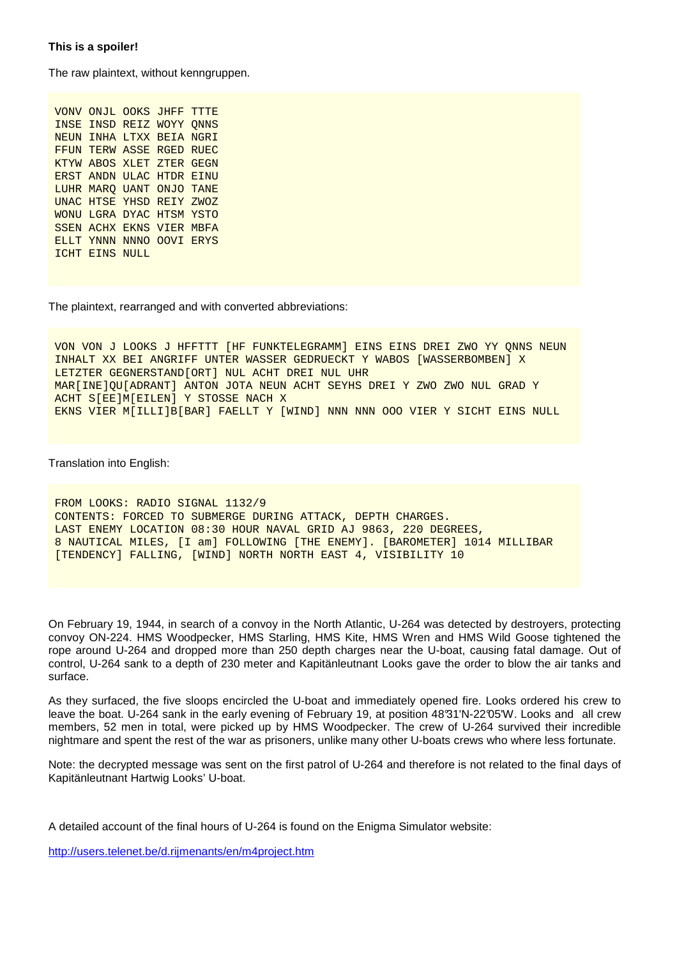The raw plaintext, without kenngruppen.

VONV ONJL OOKS JHFF TTTE INSE INSD REIZ WOYY QNNS NEUN INHA LTXX BEIA NGRI FFUN TERW ASSE RGED RUEC KTYW ABOS XLET ZTER GEGN ERST ANDN ULAC HTDR EINU LUHR MARQ UANT ONJO TANE UNAC HTSE YHSD REIY ZWOZ WONU LGRA DYAC HTSM YSTO SSEN ACHX EKNS VIER MBFA ELLT YNNN NNNO OOVI ERYS ICHT EINS NULL

The plaintext, rearranged and with converted abbreviations:

VON VON J LOOKS J HFFTTT [HF FUNKTELEGRAMM] EINS EINS DREI ZWO YY QNNS NEUN INHALT XX BEI ANGRIFF UNTER WASSER GEDRUECKT Y WABOS [WASSERBOMBEN] X LETZTER GEGNERSTAND[ORT] NUL ACHT DREI NUL UHR MAR[INE]QU[ADRANT] ANTON JOTA NEUN ACHT SEYHS DREI Y ZWO ZWO NUL GRAD Y ACHT S[EE]M[EILEN] Y STOSSE NACH X EKNS VIER M[ILLI]B[BAR] FAELLT Y [WIND] NNN NNN OOO VIER Y SICHT EINS NULL

Translation into English:

```
FROM LOOKS: RADIO SIGNAL 1132/9 
CONTENTS: FORCED TO SUBMERGE DURING ATTACK, DEPTH CHARGES. 
LAST ENEMY LOCATION 08:30 HOUR NAVAL GRID AJ 9863, 220 DEGREES, 
8 NAUTICAL MILES, [I am] FOLLOWING [THE ENEMY]. [BAROMETER] 1014 MILLIBAR 
[TENDENCY] FALLING, [WIND] NORTH NORTH EAST 4, VISIBILITY 10
```
On February 19, 1944, in search of a convoy in the North Atlantic, U-264 was detected by destroyers, protecting convoy ON-224. HMS Woodpecker, HMS Starling, HMS Kite, HMS Wren and HMS Wild Goose tightened the rope around U-264 and dropped more than 250 depth charges near the U-boat, causing fatal damage. Out of control, U-264 sank to a depth of 230 meter and Kapitänleutnant Looks gave the order to blow the air tanks and surface.

As they surfaced, the five sloops encircled the U-boat and immediately opened fire. Looks ordered his crew to leave the boat. U-264 sank in the early evening of February 19, at position 48°31'N-22°05'W. Looks and all crew members, 52 men in total, were picked up by HMS Woodpecker. The crew of U-264 survived their incredible nightmare and spent the rest of the war as prisoners, unlike many other U-boats crews who where less fortunate.

Note: the decrypted message was sent on the first patrol of U-264 and therefore is not related to the final days of Kapitänleutnant Hartwig Looks' U-boat.

A detailed account of the final hours of U-264 is found on the Enigma Simulator website:

http://users.telenet.be/d.rijmenants/en/m4project.htm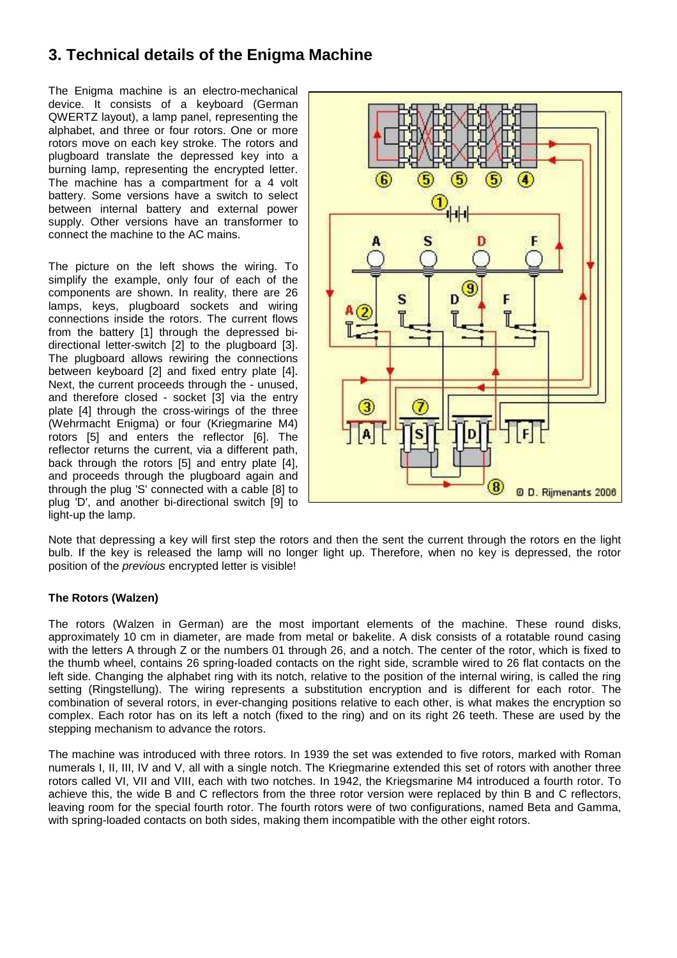# **3. Technical details of the Enigma Machine**

The Enigma machine is an electro-mechanical device. It consists of a keyboard (German QWERTZ layout), a lamp panel, representing the alphabet, and three or four rotors. One or more rotors move on each key stroke. The rotors and plugboard translate the depressed key into a burning lamp, representing the encrypted letter. The machine has a compartment for a 4 volt battery. Some versions have a switch to select between internal battery and external power supply. Other versions have an transformer to connect the machine to the AC mains.

The picture on the left shows the wiring. To simplify the example, only four of each of the components are shown. In reality, there are 26 lamps, keys, plugboard sockets and wiring connections inside the rotors. The current flows from the battery [1] through the depressed bidirectional letter-switch [2] to the plugboard [3]. The plugboard allows rewiring the connections between keyboard [2] and fixed entry plate [4]. Next, the current proceeds through the - unused, and therefore closed - socket [3] via the entry plate [4] through the cross-wirings of the three (Wehrmacht Enigma) or four (Kriegmarine M4) rotors [5] and enters the reflector [6]. The reflector returns the current, via a different path, back through the rotors [5] and entry plate [4], and proceeds through the plugboard again and through the plug 'S' connected with a cable [8] to plug 'D', and another bi-directional switch [9] to light-up the lamp.



Note that depressing a key will first step the rotors and then the sent the current through the rotors en the light bulb. If the key is released the lamp will no longer light up. Therefore, when no key is depressed, the rotor position of the previous encrypted letter is visible!

#### **The Rotors (Walzen)**

The rotors (Walzen in German) are the most important elements of the machine. These round disks, approximately 10 cm in diameter, are made from metal or bakelite. A disk consists of a rotatable round casing with the letters A through Z or the numbers 01 through 26, and a notch. The center of the rotor, which is fixed to the thumb wheel, contains 26 spring-loaded contacts on the right side, scramble wired to 26 flat contacts on the left side. Changing the alphabet ring with its notch, relative to the position of the internal wiring, is called the ring setting (Ringstellung). The wiring represents a substitution encryption and is different for each rotor. The combination of several rotors, in ever-changing positions relative to each other, is what makes the encryption so complex. Each rotor has on its left a notch (fixed to the ring) and on its right 26 teeth. These are used by the stepping mechanism to advance the rotors.

The machine was introduced with three rotors. In 1939 the set was extended to five rotors, marked with Roman numerals I, II, III, IV and V, all with a single notch. The Kriegmarine extended this set of rotors with another three rotors called VI, VII and VIII, each with two notches. In 1942, the Kriegsmarine M4 introduced a fourth rotor. To achieve this, the wide B and C reflectors from the three rotor version were replaced by thin B and C reflectors, leaving room for the special fourth rotor. The fourth rotors were of two configurations, named Beta and Gamma, with spring-loaded contacts on both sides, making them incompatible with the other eight rotors.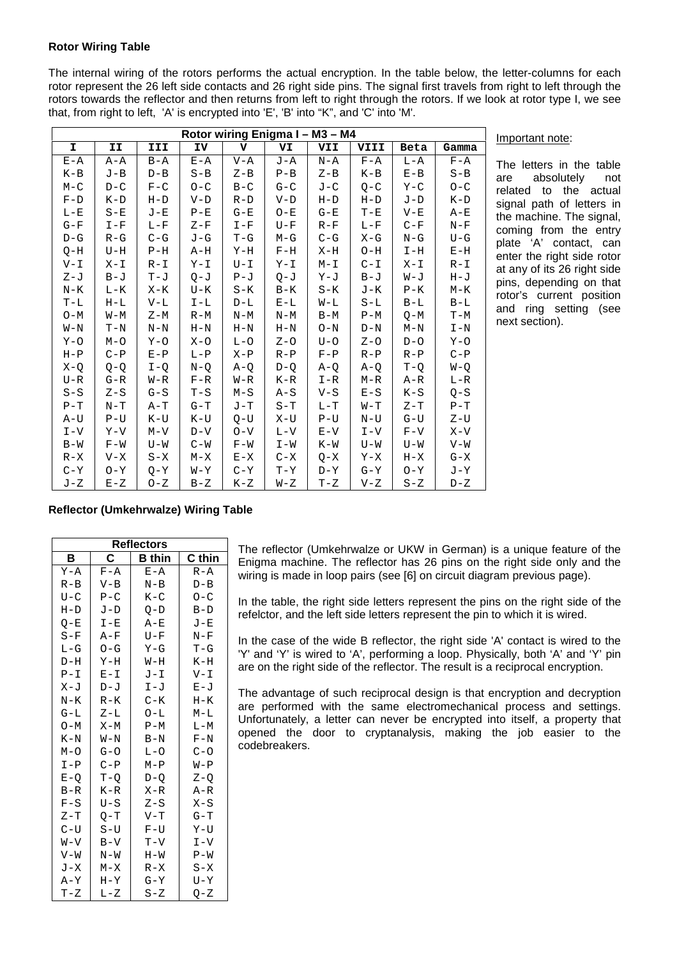#### **Rotor Wiring Table**

The internal wiring of the rotors performs the actual encryption. In the table below, the letter-columns for each rotor represent the 26 left side contacts and 26 right side pins. The signal first travels from right to left through the rotors towards the reflector and then returns from left to right through the rotors. If we look at rotor type I, we see that, from right to left, 'A' is encrypted into 'E', 'B' into "K", and 'C' into 'M'.

| Rotor wiring Enigma I - M3 - M4 |         |         |         |         |         |         |         |         |         |
|---------------------------------|---------|---------|---------|---------|---------|---------|---------|---------|---------|
| I.                              | II      | III     | IV      | v       | VI      | VII     | VIII    | Beta    | Gamma   |
| $E - A$                         | A-A     | $B - A$ | $E - A$ | $V - A$ | J-A     | $N - A$ | $F - A$ | $L - A$ | $F - A$ |
| $K-B$                           | $J-B$   | $D - B$ | $S - B$ | $Z - B$ | $P - B$ | $Z - B$ | $K-B$   | $E - B$ | $S - B$ |
| $M - C$                         | $D - C$ | $F - C$ | $O - C$ | $B-C$   | $G - C$ | $J - C$ | $O-C$   | $Y - C$ | $O - C$ |
| $F - D$                         | $K-D$   | $H-D$   | $V-D$   | $R-D$   | $V-D$   | $H-D$   | $H-D$   | $J-D$   | $K-D$   |
| $L-E$                           | $S-E$   | J-E     | $P - E$ | $G - E$ | $O-E$   | $G - E$ | $T - E$ | $V - E$ | $A-E$   |
| $G-F$                           | $I-F$   | $L - F$ | $Z-F$   | $I-F$   | $U-F$   | $R-F$   | $L - F$ | $C-F$   | $N-F$   |
| $D-G$                           | $R-G$   | $C-G$   | $J-G$   | $T-G$   | $M-G$   | $C-G$   | X-G     | $N-G$   | $U-G$   |
| $O-H$                           | U-H     | $P-H$   | A-H     | Y-H     | $F-H$   | X-H     | 0-H     | $I-H$   | $E-H$   |
| $V - I$                         | X-I     | $R - I$ | $Y - I$ | $U - I$ | $Y - I$ | $M - I$ | $C - I$ | $X - I$ | $R-I$   |
| $Z-J$                           | $B-J$   | $T-J$   | $Q - J$ | $P - J$ | $Q - J$ | Y-J     | $B-J$   | $W - J$ | $H - J$ |
| $N-K$                           | $L - K$ | X-K     | $U-K$   | $S-K$   | $B-K$   | $S-K$   | J-K     | $P-K$   | $M-K$   |
| $T-L$                           | $H-L$   | $V-L$   | $I-L$   | $D-L$   | $E-L$   | W-L     | $S-L$   | $B-L$   | $B-L$   |
| $O-M$                           | $W-M$   | $Z-M$   | $R-M$   | $N-M$   | $N-M$   | $B-M$   | $P-M$   | $O-M$   | $T-M$   |
| $W-N$                           | $T-N$   | $N-N$   | $H-N$   | $H-N$   | $H-N$   | $O-N$   | $D-N$   | $M-N$   | $I-N$   |
| $Y - O$                         | $M-O$   | $Y - O$ | $X - O$ | $L-O$   | $Z - Q$ | $U - O$ | $Z - Q$ | $D-O$   | $Y - O$ |
| $H-P$                           | $C-P$   | $E - P$ | $L-P$   | $X - P$ | $R-P$   | $F - P$ | $R-P$   | $R-P$   | $C-P$   |
| $X - Q$                         | $Q-Q$   | $I-O$   | $N - Q$ | $A-O$   | $D-Q$   | $A-O$   | $A-O$   | $T-Q$   | $W-Q$   |
| $U - R$                         | $G - R$ | $W - R$ | $F - R$ | $W - R$ | $K-R$   | $I-R$   | M-R     | A-R     | $L-R$   |
| $S-S$                           | $Z-S$   | $G-S$   | $T-S$   | $M-S$   | $A-S$   | $V-S$   | $E-S$   | $K-S$   | $O-S$   |
| $P-T$                           | $N-T$   | A-T     | $G-T$   | $J-T$   | $S-T$   | $L-T$   | $W-T$   | $Z-T$   | $P-T$   |
| $A-U$                           | $P-U$   | $K-U$   | $K-U$   | O-U     | $X-U$   | $P-U$   | $N-U$   | $G-U$   | $Z-U$   |
| $I-V$                           | $Y-Y$   | $M - V$ | $D-V$   | $O-V$   | $L - V$ | $E-V$   | $I-V$   | $F-V$   | $X - V$ |
| $B-W$                           | $F-W$   | $U-W$   | $C-W$   | $F-W$   | $I - W$ | $K-W$   | $U-W$   | $U-W$   | $V-W$   |
| $R - X$                         | $V - X$ | $S-X$   | $M-X$   | $E-X$   | $C - X$ | $Q-X$   | Y-X     | $H-X$   | $G-X$   |
| $C - Y$                         | $O-Y$   | $O-Y$   | $N-X$   | $C - Y$ | $T - Y$ | $D-Y$   | $G - Y$ | $O-Y$   | J-Y     |
| $J-Z$                           | $E-Z$   | $O-Z$   | $B-Z$   | K-Z     | $W - Z$ | $T-Z$   | $V - Z$ | $S-Z$   | D-Z     |

#### Important note:

The letters in the table are absolutely not related to the actual signal path of letters in the machine. The signal, coming from the entry plate 'A' contact, can enter the right side rotor at any of its 26 right side pins, depending on that rotor's current position and ring setting (see next section).

#### **Reflector (Umkehrwalze) Wiring Table**

| <b>Reflectors</b> |         |         |         |  |  |  |  |  |  |
|-------------------|---------|---------|---------|--|--|--|--|--|--|
| в                 | C       | B thin  | C thin  |  |  |  |  |  |  |
| $Y - A$           | $F - A$ | $E - A$ | $R - A$ |  |  |  |  |  |  |
| $R - B$           | $V - B$ | N-B     | D-B     |  |  |  |  |  |  |
| $U - C$           | $P - C$ | $K - C$ | $O-C$   |  |  |  |  |  |  |
| $H-D$             | $J-D$   | $Q-D$   | $B-D$   |  |  |  |  |  |  |
| $O-E$             | $I - E$ | $A - E$ | J-E     |  |  |  |  |  |  |
| $S-F$             | A-F     | $U-F$   | $N-F$   |  |  |  |  |  |  |
| $L-G$             | $O-G$   | $Y-G$   | $T-G$   |  |  |  |  |  |  |
| $D-H$             | $Y-H$   | $W-H$   | $K-H$   |  |  |  |  |  |  |
| $P-I$             | $E - I$ | J-I     | $V - I$ |  |  |  |  |  |  |
| $X - J$           | $D - J$ | $I-J$   | $E - J$ |  |  |  |  |  |  |
| $N-K$             | R-K     | $C - K$ | Н-К     |  |  |  |  |  |  |
| $G-L$             | $Z-L$   | 0-L     | M-L     |  |  |  |  |  |  |
| $O-M$             | $X-M$   | $P-M$   | $L-M$   |  |  |  |  |  |  |
| $K-N$             | $W-N$   | $B-N$   | $F-N$   |  |  |  |  |  |  |
| $M-O$             | $G - O$ | $L-O$   | $C - O$ |  |  |  |  |  |  |
| $I-P$             | $C-P$   | $M - P$ | W-P     |  |  |  |  |  |  |
| $E-O$             | $T - O$ | $D-O$   | $Z - Q$ |  |  |  |  |  |  |
| $B-R$             | $K-R$   | $X - R$ | A-R     |  |  |  |  |  |  |
| $F-S$             | $U-S$   | $Z-S$   | X-S     |  |  |  |  |  |  |
| $Z-T$             | Q-T     | $V-T$   | G-T     |  |  |  |  |  |  |
| $C-U$             | $S-U$   | $F-U$   | Y-U     |  |  |  |  |  |  |
| $V-V$             | $B-V$   | $T-V$   | $I-V$   |  |  |  |  |  |  |
| $V - W$           | N-W     | $H - W$ | P-W     |  |  |  |  |  |  |
| $J-X$             | M-X     | $R-X$   | $S - X$ |  |  |  |  |  |  |
| A-Y               | $H - Y$ | $G - Y$ | U-Y     |  |  |  |  |  |  |
| $T-Z$             | $L - Z$ | $S-Z$   | $Q - Z$ |  |  |  |  |  |  |

The reflector (Umkehrwalze or UKW in German) is a unique feature of the Enigma machine. The reflector has 26 pins on the right side only and the wiring is made in loop pairs (see [6] on circuit diagram previous page).

In the table, the right side letters represent the pins on the right side of the refelctor, and the left side letters represent the pin to which it is wired.

In the case of the wide B reflector, the right side 'A' contact is wired to the 'Y' and 'Y' is wired to 'A', performing a loop. Physically, both 'A' and 'Y' pin are on the right side of the reflector. The result is a reciprocal encryption.

The advantage of such reciprocal design is that encryption and decryption are performed with the same electromechanical process and settings. Unfortunately, a letter can never be encrypted into itself, a property that opened the door to cryptanalysis, making the job easier to the codebreakers.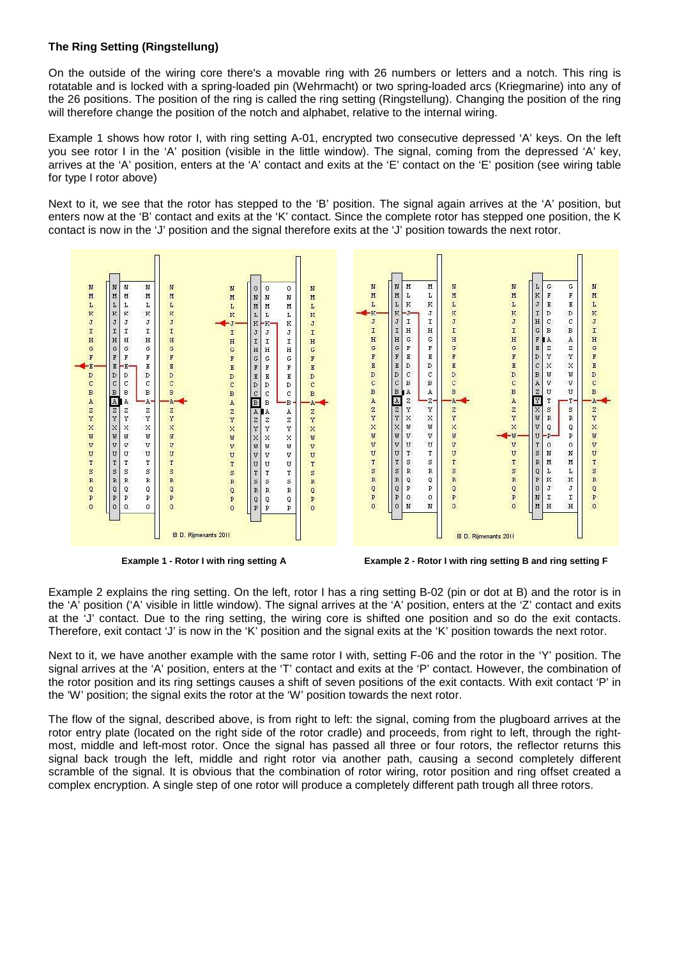#### **The Ring Setting (Ringstellung)**

On the outside of the wiring core there's a movable ring with 26 numbers or letters and a notch. This ring is rotatable and is locked with a spring-loaded pin (Wehrmacht) or two spring-loaded arcs (Kriegmarine) into any of the 26 positions. The position of the ring is called the ring setting (Ringstellung). Changing the position of the ring will therefore change the position of the notch and alphabet, relative to the internal wiring.

Example 1 shows how rotor I, with ring setting A-01, encrypted two consecutive depressed 'A' keys. On the left you see rotor I in the 'A' position (visible in the little window). The signal, coming from the depressed 'A' key, arrives at the 'A' position, enters at the 'A' contact and exits at the 'E' contact on the 'E' position (see wiring table for type I rotor above)

Next to it, we see that the rotor has stepped to the 'B' position. The signal again arrives at the 'A' position, but enters now at the 'B' contact and exits at the 'K' contact. Since the complete rotor has stepped one position, the K contact is now in the 'J' position and the signal therefore exits at the 'J' position towards the next rotor.



**Example 1 - Rotor I with ring setting A Example 2 - Rotor I with ring setting B and ring setting F** 

Example 2 explains the ring setting. On the left, rotor I has a ring setting B-02 (pin or dot at B) and the rotor is in the 'A' position ('A' visible in little window). The signal arrives at the 'A' position, enters at the 'Z' contact and exits at the 'J' contact. Due to the ring setting, the wiring core is shifted one position and so do the exit contacts. Therefore, exit contact 'J' is now in the 'K' position and the signal exits at the 'K' position towards the next rotor.

Next to it, we have another example with the same rotor I with, setting F-06 and the rotor in the 'Y' position. The signal arrives at the 'A' position, enters at the 'T' contact and exits at the 'P' contact. However, the combination of the rotor position and its ring settings causes a shift of seven positions of the exit contacts. With exit contact 'P' in the 'W' position; the signal exits the rotor at the 'W' position towards the next rotor.

The flow of the signal, described above, is from right to left: the signal, coming from the plugboard arrives at the rotor entry plate (located on the right side of the rotor cradle) and proceeds, from right to left, through the rightmost, middle and left-most rotor. Once the signal has passed all three or four rotors, the reflector returns this signal back trough the left, middle and right rotor via another path, causing a second completely different scramble of the signal. It is obvious that the combination of rotor wiring, rotor position and ring offset created a complex encryption. A single step of one rotor will produce a completely different path trough all three rotors.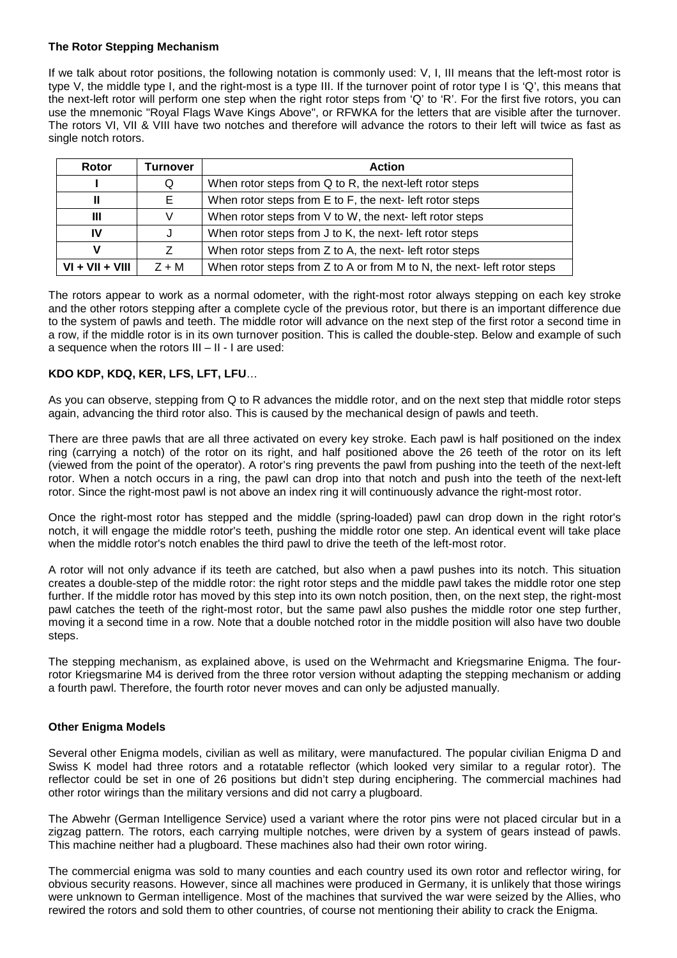#### **The Rotor Stepping Mechanism**

If we talk about rotor positions, the following notation is commonly used: V, I, III means that the left-most rotor is type V, the middle type I, and the right-most is a type III. If the turnover point of rotor type I is 'Q', this means that the next-left rotor will perform one step when the right rotor steps from 'Q' to 'R'. For the first five rotors, you can use the mnemonic "Royal Flags Wave Kings Above", or RFWKA for the letters that are visible after the turnover. The rotors VI, VII & VIII have two notches and therefore will advance the rotors to their left will twice as fast as single notch rotors.

| Rotor             | <b>Turnover</b>                                               | <b>Action</b>                                                           |
|-------------------|---------------------------------------------------------------|-------------------------------------------------------------------------|
|                   | Q                                                             | When rotor steps from Q to R, the next-left rotor steps                 |
| Ш                 | E.                                                            | When rotor steps from E to F, the next- left rotor steps                |
| Ш                 | V                                                             | When rotor steps from V to W, the next- left rotor steps                |
| IV                | When rotor steps from J to K, the next- left rotor steps<br>J |                                                                         |
| v                 |                                                               | When rotor steps from Z to A, the next- left rotor steps                |
| $VI + VII + VIII$ | $Z + M$                                                       | When rotor steps from Z to A or from M to N, the next- left rotor steps |

The rotors appear to work as a normal odometer, with the right-most rotor always stepping on each key stroke and the other rotors stepping after a complete cycle of the previous rotor, but there is an important difference due to the system of pawls and teeth. The middle rotor will advance on the next step of the first rotor a second time in a row, if the middle rotor is in its own turnover position. This is called the double-step. Below and example of such a sequence when the rotors III – II - I are used:

#### **KDO KDP, KDQ, KER, LFS, LFT, LFU**…

As you can observe, stepping from Q to R advances the middle rotor, and on the next step that middle rotor steps again, advancing the third rotor also. This is caused by the mechanical design of pawls and teeth.

There are three pawls that are all three activated on every key stroke. Each pawl is half positioned on the index ring (carrying a notch) of the rotor on its right, and half positioned above the 26 teeth of the rotor on its left (viewed from the point of the operator). A rotor's ring prevents the pawl from pushing into the teeth of the next-left rotor. When a notch occurs in a ring, the pawl can drop into that notch and push into the teeth of the next-left rotor. Since the right-most pawl is not above an index ring it will continuously advance the right-most rotor.

Once the right-most rotor has stepped and the middle (spring-loaded) pawl can drop down in the right rotor's notch, it will engage the middle rotor's teeth, pushing the middle rotor one step. An identical event will take place when the middle rotor's notch enables the third pawl to drive the teeth of the left-most rotor.

A rotor will not only advance if its teeth are catched, but also when a pawl pushes into its notch. This situation creates a double-step of the middle rotor: the right rotor steps and the middle pawl takes the middle rotor one step further. If the middle rotor has moved by this step into its own notch position, then, on the next step, the right-most pawl catches the teeth of the right-most rotor, but the same pawl also pushes the middle rotor one step further, moving it a second time in a row. Note that a double notched rotor in the middle position will also have two double steps.

The stepping mechanism, as explained above, is used on the Wehrmacht and Kriegsmarine Enigma. The fourrotor Kriegsmarine M4 is derived from the three rotor version without adapting the stepping mechanism or adding a fourth pawl. Therefore, the fourth rotor never moves and can only be adjusted manually.

#### **Other Enigma Models**

Several other Enigma models, civilian as well as military, were manufactured. The popular civilian Enigma D and Swiss K model had three rotors and a rotatable reflector (which looked very similar to a regular rotor). The reflector could be set in one of 26 positions but didn't step during enciphering. The commercial machines had other rotor wirings than the military versions and did not carry a plugboard.

The Abwehr (German Intelligence Service) used a variant where the rotor pins were not placed circular but in a zigzag pattern. The rotors, each carrying multiple notches, were driven by a system of gears instead of pawls. This machine neither had a plugboard. These machines also had their own rotor wiring.

The commercial enigma was sold to many counties and each country used its own rotor and reflector wiring, for obvious security reasons. However, since all machines were produced in Germany, it is unlikely that those wirings were unknown to German intelligence. Most of the machines that survived the war were seized by the Allies, who rewired the rotors and sold them to other countries, of course not mentioning their ability to crack the Enigma.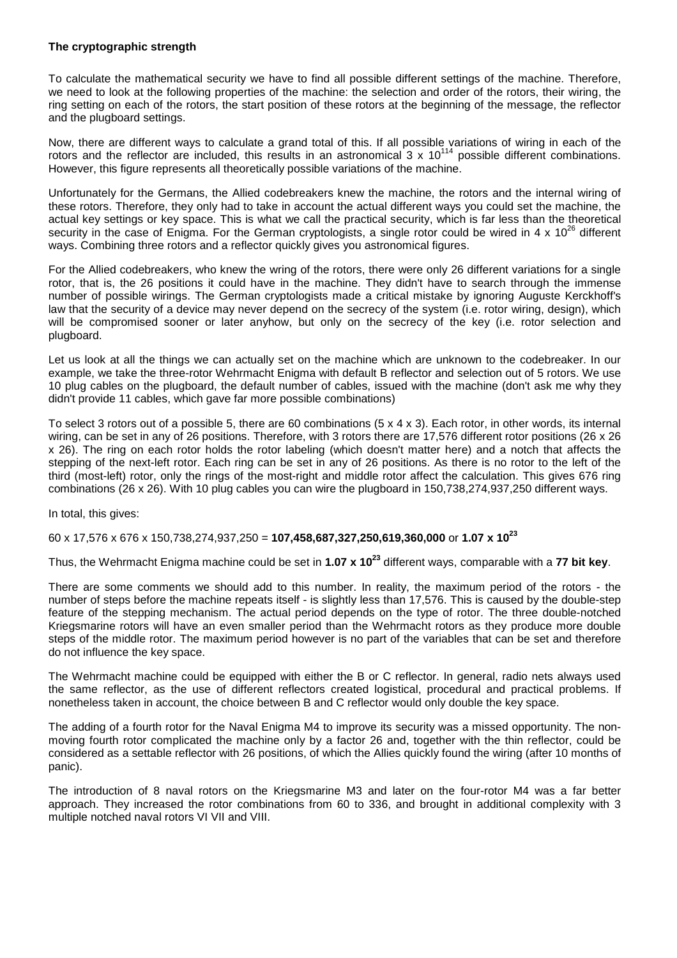#### **The cryptographic strength**

To calculate the mathematical security we have to find all possible different settings of the machine. Therefore, we need to look at the following properties of the machine: the selection and order of the rotors, their wiring, the ring setting on each of the rotors, the start position of these rotors at the beginning of the message, the reflector and the plugboard settings.

Now, there are different ways to calculate a grand total of this. If all possible variations of wiring in each of the rotors and the reflector are included, this results in an astronomical  $3 \times 10^{114}$  possible different combinations. However, this figure represents all theoretically possible variations of the machine.

Unfortunately for the Germans, the Allied codebreakers knew the machine, the rotors and the internal wiring of these rotors. Therefore, they only had to take in account the actual different ways you could set the machine, the actual key settings or key space. This is what we call the practical security, which is far less than the theoretical security in the case of Enigma. For the German cryptologists, a single rotor could be wired in 4 x  $10^{26}$  different ways. Combining three rotors and a reflector quickly gives you astronomical figures.

For the Allied codebreakers, who knew the wring of the rotors, there were only 26 different variations for a single rotor, that is, the 26 positions it could have in the machine. They didn't have to search through the immense number of possible wirings. The German cryptologists made a critical mistake by ignoring Auguste Kerckhoff's law that the security of a device may never depend on the secrecy of the system (i.e. rotor wiring, design), which will be compromised sooner or later anyhow, but only on the secrecy of the key (i.e. rotor selection and plugboard.

Let us look at all the things we can actually set on the machine which are unknown to the codebreaker. In our example, we take the three-rotor Wehrmacht Enigma with default B reflector and selection out of 5 rotors. We use 10 plug cables on the plugboard, the default number of cables, issued with the machine (don't ask me why they didn't provide 11 cables, which gave far more possible combinations)

To select 3 rotors out of a possible 5, there are 60 combinations  $(5 \times 4 \times 3)$ . Each rotor, in other words, its internal wiring, can be set in any of 26 positions. Therefore, with 3 rotors there are 17,576 different rotor positions (26 x 26 x 26). The ring on each rotor holds the rotor labeling (which doesn't matter here) and a notch that affects the stepping of the next-left rotor. Each ring can be set in any of 26 positions. As there is no rotor to the left of the third (most-left) rotor, only the rings of the most-right and middle rotor affect the calculation. This gives 676 ring combinations (26 x 26). With 10 plug cables you can wire the plugboard in 150,738,274,937,250 different ways.

In total, this gives:

#### 60 x 17,576 x 676 x 150,738,274,937,250 = **107,458,687,327,250,619,360,000** or **1.07 x 10<sup>23</sup>**

Thus, the Wehrmacht Enigma machine could be set in **1.07 x 10<sup>23</sup>** different ways, comparable with a **77 bit key**.

There are some comments we should add to this number. In reality, the maximum period of the rotors - the number of steps before the machine repeats itself - is slightly less than 17,576. This is caused by the double-step feature of the stepping mechanism. The actual period depends on the type of rotor. The three double-notched Kriegsmarine rotors will have an even smaller period than the Wehrmacht rotors as they produce more double steps of the middle rotor. The maximum period however is no part of the variables that can be set and therefore do not influence the key space.

The Wehrmacht machine could be equipped with either the B or C reflector. In general, radio nets always used the same reflector, as the use of different reflectors created logistical, procedural and practical problems. If nonetheless taken in account, the choice between B and C reflector would only double the key space.

The adding of a fourth rotor for the Naval Enigma M4 to improve its security was a missed opportunity. The nonmoving fourth rotor complicated the machine only by a factor 26 and, together with the thin reflector, could be considered as a settable reflector with 26 positions, of which the Allies quickly found the wiring (after 10 months of panic).

The introduction of 8 naval rotors on the Kriegsmarine M3 and later on the four-rotor M4 was a far better approach. They increased the rotor combinations from 60 to 336, and brought in additional complexity with 3 multiple notched naval rotors VI VII and VIII.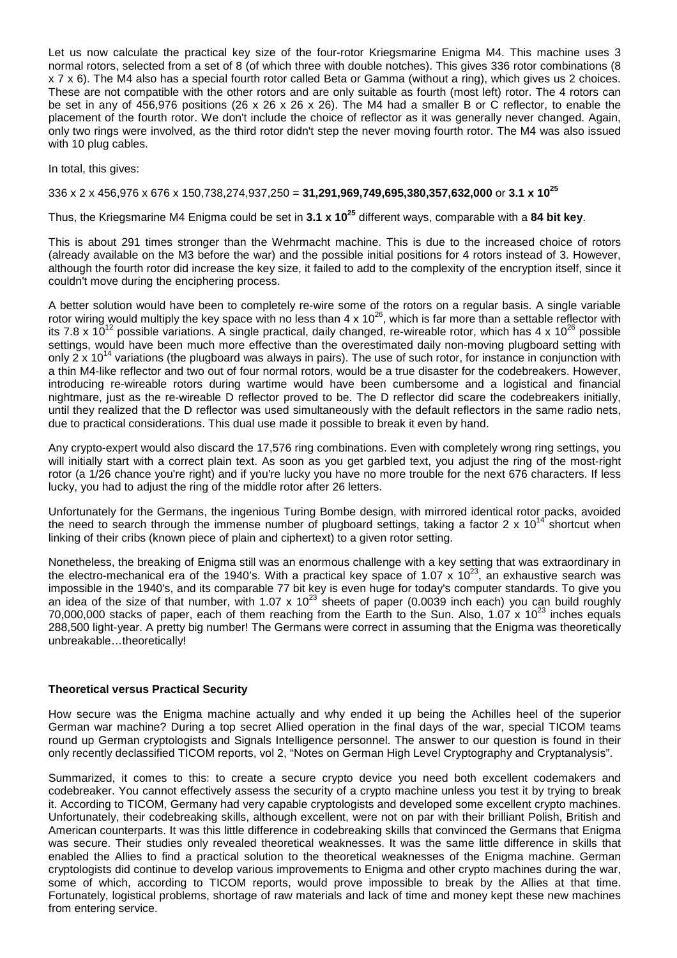Let us now calculate the practical key size of the four-rotor Kriegsmarine Enigma M4. This machine uses 3 normal rotors, selected from a set of 8 (of which three with double notches). This gives 336 rotor combinations (8 x 7 x 6). The M4 also has a special fourth rotor called Beta or Gamma (without a ring), which gives us 2 choices. These are not compatible with the other rotors and are only suitable as fourth (most left) rotor. The 4 rotors can be set in any of 456,976 positions (26 x 26 x 26 x 26). The M4 had a smaller B or C reflector, to enable the placement of the fourth rotor. We don't include the choice of reflector as it was generally never changed. Again, only two rings were involved, as the third rotor didn't step the never moving fourth rotor. The M4 was also issued with 10 plug cables.

In total, this gives:

#### 336 x 2 x 456,976 x 676 x 150,738,274,937,250 = **31,291,969,749,695,380,357,632,000** or **3.1 x 10<sup>25</sup>**

Thus, the Kriegsmarine M4 Enigma could be set in **3.1 x 10<sup>25</sup>** different ways, comparable with a **84 bit key**.

This is about 291 times stronger than the Wehrmacht machine. This is due to the increased choice of rotors (already available on the M3 before the war) and the possible initial positions for 4 rotors instead of 3. However, although the fourth rotor did increase the key size, it failed to add to the complexity of the encryption itself, since it couldn't move during the enciphering process.

A better solution would have been to completely re-wire some of the rotors on a regular basis. A single variable rotor wiring would multiply the key space with no less than  $4 \times 10^{26}$ , which is far more than a settable reflector with its 7.8 x  $10^{12}$  possible variations. A single practical, daily changed, re-wireable rotor, which has 4 x  $10^{26}$  possible settings, would have been much more effective than the overestimated daily non-moving plugboard setting with only 2 x 10<sup>14</sup> variations (the plugboard was always in pairs). The use of such rotor, for instance in conjunction with a thin M4-like reflector and two out of four normal rotors, would be a true disaster for the codebreakers. However, introducing re-wireable rotors during wartime would have been cumbersome and a logistical and financial nightmare, just as the re-wireable D reflector proved to be. The D reflector did scare the codebreakers initially, until they realized that the D reflector was used simultaneously with the default reflectors in the same radio nets, due to practical considerations. This dual use made it possible to break it even by hand.

Any crypto-expert would also discard the 17,576 ring combinations. Even with completely wrong ring settings, you will initially start with a correct plain text. As soon as you get garbled text, you adjust the ring of the most-right rotor (a 1/26 chance you're right) and if you're lucky you have no more trouble for the next 676 characters. If less lucky, you had to adjust the ring of the middle rotor after 26 letters.

Unfortunately for the Germans, the ingenious Turing Bombe design, with mirrored identical rotor packs, avoided the need to search through the immense number of plugboard settings, taking a factor 2 x  $10^{14}$  shortcut when linking of their cribs (known piece of plain and ciphertext) to a given rotor setting.

Nonetheless, the breaking of Enigma still was an enormous challenge with a key setting that was extraordinary in the electro-mechanical era of the 1940's. With a practical key space of 1.07 x 10<sup>23</sup>, an exhaustive search was impossible in the 1940's, and its comparable 77 bit key is even huge for today's computer standards. To give you an idea of the size of that number, with 1.07 x  $10^{23}$  sheets of paper (0.0039 inch each) you can build roughly 70,000,000 stacks of paper, each of them reaching from the Earth to the Sun. Also, 1.07 x  $10^{23}$  inches equals 288,500 light-year. A pretty big number! The Germans were correct in assuming that the Enigma was theoretically unbreakable...theoretically!

#### **Theoretical versus Practical Security**

How secure was the Enigma machine actually and why ended it up being the Achilles heel of the superior German war machine? During a top secret Allied operation in the final days of the war, special TICOM teams round up German cryptologists and Signals Intelligence personnel. The answer to our question is found in their only recently declassified TICOM reports, vol 2, "Notes on German High Level Cryptography and Cryptanalysis".

Summarized, it comes to this: to create a secure crypto device you need both excellent codemakers and codebreaker. You cannot effectively assess the security of a crypto machine unless you test it by trying to break it. According to TICOM, Germany had very capable cryptologists and developed some excellent crypto machines. Unfortunately, their codebreaking skills, although excellent, were not on par with their brilliant Polish, British and American counterparts. It was this little difference in codebreaking skills that convinced the Germans that Enigma was secure. Their studies only revealed theoretical weaknesses. It was the same little difference in skills that enabled the Allies to find a practical solution to the theoretical weaknesses of the Enigma machine. German cryptologists did continue to develop various improvements to Enigma and other crypto machines during the war, some of which, according to TICOM reports, would prove impossible to break by the Allies at that time. Fortunately, logistical problems, shortage of raw materials and lack of time and money kept these new machines from entering service.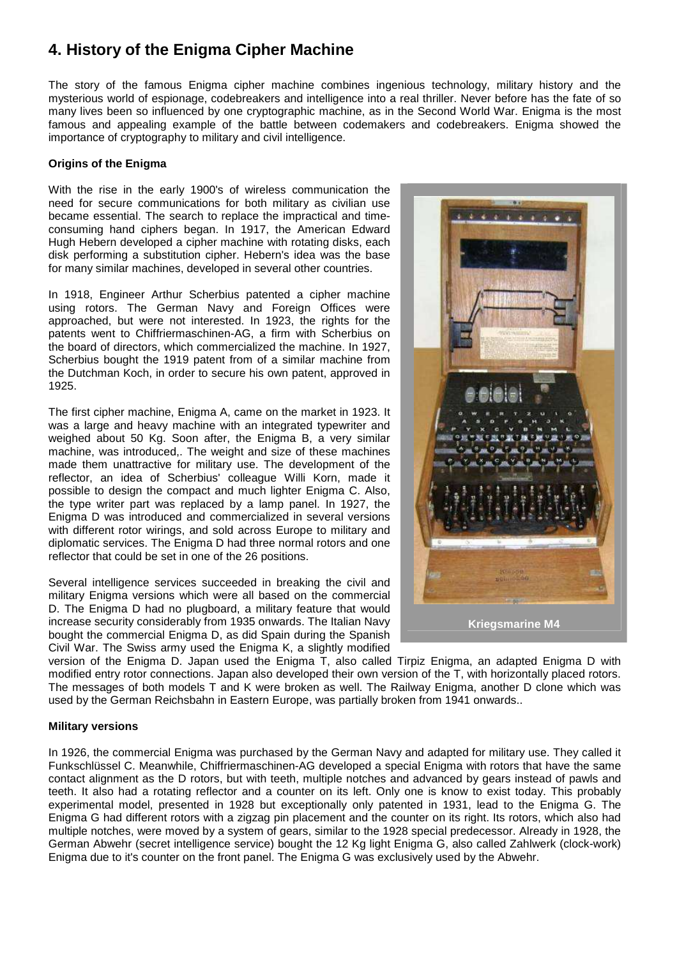# **4. History of the Enigma Cipher Machine**

The story of the famous Enigma cipher machine combines ingenious technology, military history and the mysterious world of espionage, codebreakers and intelligence into a real thriller. Never before has the fate of so many lives been so influenced by one cryptographic machine, as in the Second World War. Enigma is the most famous and appealing example of the battle between codemakers and codebreakers. Enigma showed the importance of cryptography to military and civil intelligence.

#### **Origins of the Enigma**

With the rise in the early 1900's of wireless communication the need for secure communications for both military as civilian use became essential. The search to replace the impractical and timeconsuming hand ciphers began. In 1917, the American Edward Hugh Hebern developed a cipher machine with rotating disks, each disk performing a substitution cipher. Hebern's idea was the base for many similar machines, developed in several other countries.

In 1918, Engineer Arthur Scherbius patented a cipher machine using rotors. The German Navy and Foreign Offices were approached, but were not interested. In 1923, the rights for the patents went to Chiffriermaschinen-AG, a firm with Scherbius on the board of directors, which commercialized the machine. In 1927, Scherbius bought the 1919 patent from of a similar machine from the Dutchman Koch, in order to secure his own patent, approved in 1925.

The first cipher machine, Enigma A, came on the market in 1923. It was a large and heavy machine with an integrated typewriter and weighed about 50 Kg. Soon after, the Enigma B, a very similar machine, was introduced,. The weight and size of these machines made them unattractive for military use. The development of the reflector, an idea of Scherbius' colleague Willi Korn, made it possible to design the compact and much lighter Enigma C. Also, the type writer part was replaced by a lamp panel. In 1927, the Enigma D was introduced and commercialized in several versions with different rotor wirings, and sold across Europe to military and diplomatic services. The Enigma D had three normal rotors and one reflector that could be set in one of the 26 positions.

Several intelligence services succeeded in breaking the civil and military Enigma versions which were all based on the commercial D. The Enigma D had no plugboard, a military feature that would increase security considerably from 1935 onwards. The Italian Navy bought the commercial Enigma D, as did Spain during the Spanish Civil War. The Swiss army used the Enigma K, a slightly modified



version of the Enigma D. Japan used the Enigma T, also called Tirpiz Enigma, an adapted Enigma D with modified entry rotor connections. Japan also developed their own version of the T, with horizontally placed rotors. The messages of both models T and K were broken as well. The Railway Enigma, another D clone which was used by the German Reichsbahn in Eastern Europe, was partially broken from 1941 onwards..

#### **Military versions**

In 1926, the commercial Enigma was purchased by the German Navy and adapted for military use. They called it Funkschlüssel C. Meanwhile, Chiffriermaschinen-AG developed a special Enigma with rotors that have the same contact alignment as the D rotors, but with teeth, multiple notches and advanced by gears instead of pawls and teeth. It also had a rotating reflector and a counter on its left. Only one is know to exist today. This probably experimental model, presented in 1928 but exceptionally only patented in 1931, lead to the Enigma G. The Enigma G had different rotors with a zigzag pin placement and the counter on its right. Its rotors, which also had multiple notches, were moved by a system of gears, similar to the 1928 special predecessor. Already in 1928, the German Abwehr (secret intelligence service) bought the 12 Kg light Enigma G, also called Zahlwerk (clock-work) Enigma due to it's counter on the front panel. The Enigma G was exclusively used by the Abwehr.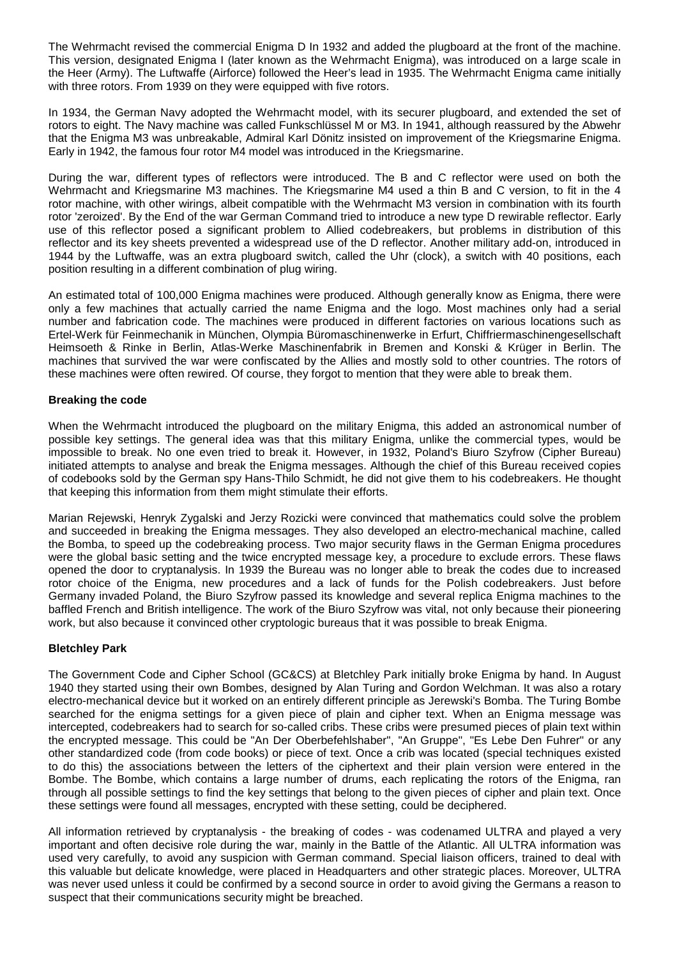The Wehrmacht revised the commercial Enigma D In 1932 and added the plugboard at the front of the machine. This version, designated Enigma I (later known as the Wehrmacht Enigma), was introduced on a large scale in the Heer (Army). The Luftwaffe (Airforce) followed the Heer's lead in 1935. The Wehrmacht Enigma came initially with three rotors. From 1939 on they were equipped with five rotors.

In 1934, the German Navy adopted the Wehrmacht model, with its securer plugboard, and extended the set of rotors to eight. The Navy machine was called Funkschlüssel M or M3. In 1941, although reassured by the Abwehr that the Enigma M3 was unbreakable, Admiral Karl Dönitz insisted on improvement of the Kriegsmarine Enigma. Early in 1942, the famous four rotor M4 model was introduced in the Kriegsmarine.

During the war, different types of reflectors were introduced. The B and C reflector were used on both the Wehrmacht and Kriegsmarine M3 machines. The Kriegsmarine M4 used a thin B and C version, to fit in the 4 rotor machine, with other wirings, albeit compatible with the Wehrmacht M3 version in combination with its fourth rotor 'zeroized'. By the End of the war German Command tried to introduce a new type D rewirable reflector. Early use of this reflector posed a significant problem to Allied codebreakers, but problems in distribution of this reflector and its key sheets prevented a widespread use of the D reflector. Another military add-on, introduced in 1944 by the Luftwaffe, was an extra plugboard switch, called the Uhr (clock), a switch with 40 positions, each position resulting in a different combination of plug wiring.

An estimated total of 100,000 Enigma machines were produced. Although generally know as Enigma, there were only a few machines that actually carried the name Enigma and the logo. Most machines only had a serial number and fabrication code. The machines were produced in different factories on various locations such as Ertel-Werk für Feinmechanik in München, Olympia Büromaschinenwerke in Erfurt, Chiffriermaschinengesellschaft Heimsoeth & Rinke in Berlin, Atlas-Werke Maschinenfabrik in Bremen and Konski & Krüger in Berlin. The machines that survived the war were confiscated by the Allies and mostly sold to other countries. The rotors of these machines were often rewired. Of course, they forgot to mention that they were able to break them.

#### **Breaking the code**

When the Wehrmacht introduced the plugboard on the military Enigma, this added an astronomical number of possible key settings. The general idea was that this military Enigma, unlike the commercial types, would be impossible to break. No one even tried to break it. However, in 1932, Poland's Biuro Szyfrow (Cipher Bureau) initiated attempts to analyse and break the Enigma messages. Although the chief of this Bureau received copies of codebooks sold by the German spy Hans-Thilo Schmidt, he did not give them to his codebreakers. He thought that keeping this information from them might stimulate their efforts.

Marian Rejewski, Henryk Zygalski and Jerzy Rozicki were convinced that mathematics could solve the problem and succeeded in breaking the Enigma messages. They also developed an electro-mechanical machine, called the Bomba, to speed up the codebreaking process. Two major security flaws in the German Enigma procedures were the global basic setting and the twice encrypted message key, a procedure to exclude errors. These flaws opened the door to cryptanalysis. In 1939 the Bureau was no longer able to break the codes due to increased rotor choice of the Enigma, new procedures and a lack of funds for the Polish codebreakers. Just before Germany invaded Poland, the Biuro Szyfrow passed its knowledge and several replica Enigma machines to the baffled French and British intelligence. The work of the Biuro Szyfrow was vital, not only because their pioneering work, but also because it convinced other cryptologic bureaus that it was possible to break Enigma.

#### **Bletchley Park**

The Government Code and Cipher School (GC&CS) at Bletchley Park initially broke Enigma by hand. In August 1940 they started using their own Bombes, designed by Alan Turing and Gordon Welchman. It was also a rotary electro-mechanical device but it worked on an entirely different principle as Jerewski's Bomba. The Turing Bombe searched for the enigma settings for a given piece of plain and cipher text. When an Enigma message was intercepted, codebreakers had to search for so-called cribs. These cribs were presumed pieces of plain text within the encrypted message. This could be "An Der Oberbefehlshaber", "An Gruppe", "Es Lebe Den Fuhrer" or any other standardized code (from code books) or piece of text. Once a crib was located (special techniques existed to do this) the associations between the letters of the ciphertext and their plain version were entered in the Bombe. The Bombe, which contains a large number of drums, each replicating the rotors of the Enigma, ran through all possible settings to find the key settings that belong to the given pieces of cipher and plain text. Once these settings were found all messages, encrypted with these setting, could be deciphered.

All information retrieved by cryptanalysis - the breaking of codes - was codenamed ULTRA and played a very important and often decisive role during the war, mainly in the Battle of the Atlantic. All ULTRA information was used very carefully, to avoid any suspicion with German command. Special liaison officers, trained to deal with this valuable but delicate knowledge, were placed in Headquarters and other strategic places. Moreover, ULTRA was never used unless it could be confirmed by a second source in order to avoid giving the Germans a reason to suspect that their communications security might be breached.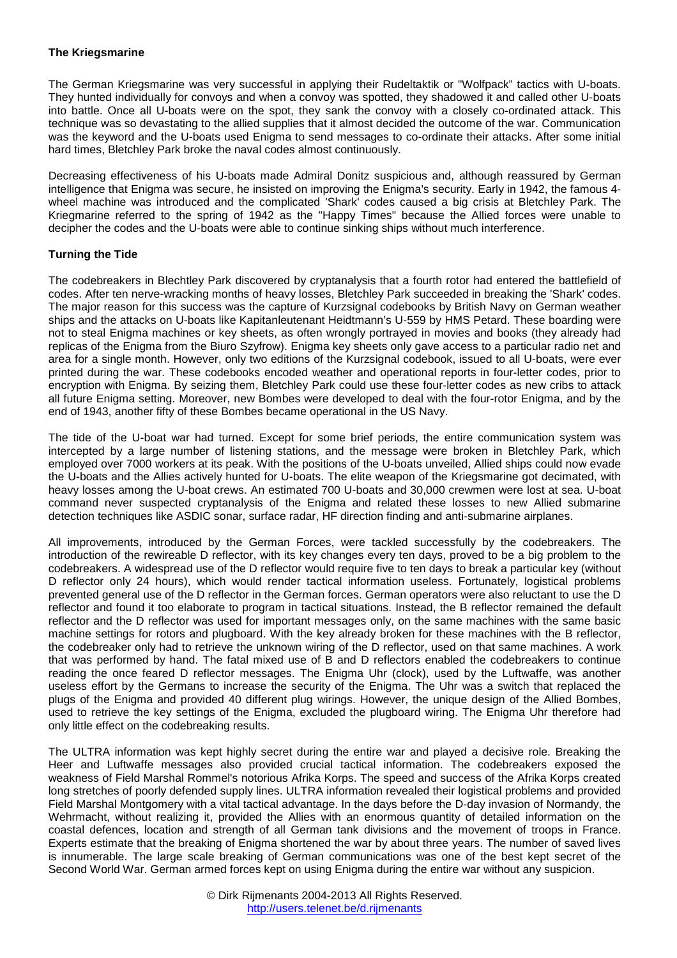#### **The Kriegsmarine**

The German Kriegsmarine was very successful in applying their Rudeltaktik or "Wolfpack" tactics with U-boats. They hunted individually for convoys and when a convoy was spotted, they shadowed it and called other U-boats into battle. Once all U-boats were on the spot, they sank the convoy with a closely co-ordinated attack. This technique was so devastating to the allied supplies that it almost decided the outcome of the war. Communication was the keyword and the U-boats used Enigma to send messages to co-ordinate their attacks. After some initial hard times, Bletchley Park broke the naval codes almost continuously.

Decreasing effectiveness of his U-boats made Admiral Donitz suspicious and, although reassured by German intelligence that Enigma was secure, he insisted on improving the Enigma's security. Early in 1942, the famous 4 wheel machine was introduced and the complicated 'Shark' codes caused a big crisis at Bletchley Park. The Kriegmarine referred to the spring of 1942 as the "Happy Times" because the Allied forces were unable to decipher the codes and the U-boats were able to continue sinking ships without much interference.

#### **Turning the Tide**

The codebreakers in Blechtley Park discovered by cryptanalysis that a fourth rotor had entered the battlefield of codes. After ten nerve-wracking months of heavy losses, Bletchley Park succeeded in breaking the 'Shark' codes. The major reason for this success was the capture of Kurzsignal codebooks by British Navy on German weather ships and the attacks on U-boats like Kapitanleutenant Heidtmann's U-559 by HMS Petard. These boarding were not to steal Enigma machines or key sheets, as often wrongly portrayed in movies and books (they already had replicas of the Enigma from the Biuro Szyfrow). Enigma key sheets only gave access to a particular radio net and area for a single month. However, only two editions of the Kurzsignal codebook, issued to all U-boats, were ever printed during the war. These codebooks encoded weather and operational reports in four-letter codes, prior to encryption with Enigma. By seizing them, Bletchley Park could use these four-letter codes as new cribs to attack all future Enigma setting. Moreover, new Bombes were developed to deal with the four-rotor Enigma, and by the end of 1943, another fifty of these Bombes became operational in the US Navy.

The tide of the U-boat war had turned. Except for some brief periods, the entire communication system was intercepted by a large number of listening stations, and the message were broken in Bletchley Park, which employed over 7000 workers at its peak. With the positions of the U-boats unveiled, Allied ships could now evade the U-boats and the Allies actively hunted for U-boats. The elite weapon of the Kriegsmarine got decimated, with heavy losses among the U-boat crews. An estimated 700 U-boats and 30,000 crewmen were lost at sea. U-boat command never suspected cryptanalysis of the Enigma and related these losses to new Allied submarine detection techniques like ASDIC sonar, surface radar, HF direction finding and anti-submarine airplanes.

All improvements, introduced by the German Forces, were tackled successfully by the codebreakers. The introduction of the rewireable D reflector, with its key changes every ten days, proved to be a big problem to the codebreakers. A widespread use of the D reflector would require five to ten days to break a particular key (without D reflector only 24 hours), which would render tactical information useless. Fortunately, logistical problems prevented general use of the D reflector in the German forces. German operators were also reluctant to use the D reflector and found it too elaborate to program in tactical situations. Instead, the B reflector remained the default reflector and the D reflector was used for important messages only, on the same machines with the same basic machine settings for rotors and plugboard. With the key already broken for these machines with the B reflector, the codebreaker only had to retrieve the unknown wiring of the D reflector, used on that same machines. A work that was performed by hand. The fatal mixed use of B and D reflectors enabled the codebreakers to continue reading the once feared D reflector messages. The Enigma Uhr (clock), used by the Luftwaffe, was another useless effort by the Germans to increase the security of the Enigma. The Uhr was a switch that replaced the plugs of the Enigma and provided 40 different plug wirings. However, the unique design of the Allied Bombes, used to retrieve the key settings of the Enigma, excluded the plugboard wiring. The Enigma Uhr therefore had only little effect on the codebreaking results.

The ULTRA information was kept highly secret during the entire war and played a decisive role. Breaking the Heer and Luftwaffe messages also provided crucial tactical information. The codebreakers exposed the weakness of Field Marshal Rommel's notorious Afrika Korps. The speed and success of the Afrika Korps created long stretches of poorly defended supply lines. ULTRA information revealed their logistical problems and provided Field Marshal Montgomery with a vital tactical advantage. In the days before the D-day invasion of Normandy, the Wehrmacht, without realizing it, provided the Allies with an enormous quantity of detailed information on the coastal defences, location and strength of all German tank divisions and the movement of troops in France. Experts estimate that the breaking of Enigma shortened the war by about three years. The number of saved lives is innumerable. The large scale breaking of German communications was one of the best kept secret of the Second World War. German armed forces kept on using Enigma during the entire war without any suspicion.